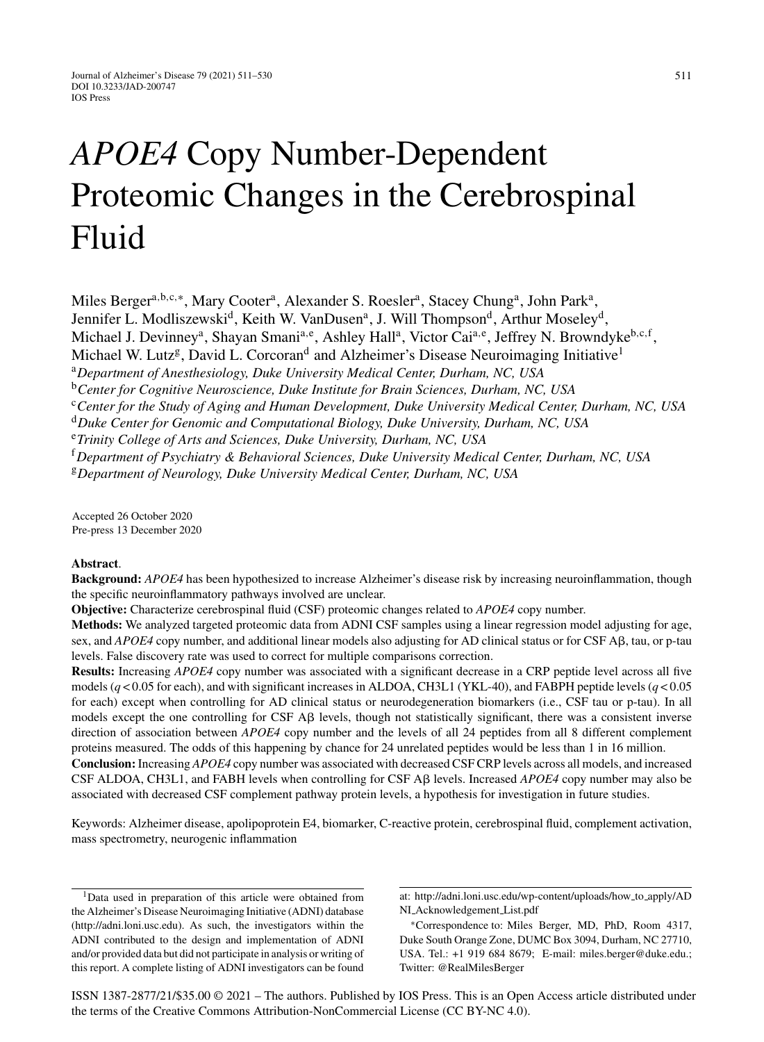# *APOE4* Copy Number-Dependent Proteomic Changes in the Cerebrospinal Fluid

Miles Berger<sup>a, b, c,∗</sup>, Mary Cooter<sup>a</sup>, Alexander S. Roesler<sup>a</sup>, Stacey Chung<sup>a</sup>, John Park<sup>a</sup>, Jennifer L. Modliszewski<sup>d</sup>, Keith W. VanDusen<sup>a</sup>, J. Will Thompson<sup>d</sup>, Arthur Moseley<sup>d</sup>, Michael J. Devinney<sup>a</sup>, Shayan Smani<sup>a,e</sup>, Ashley Hall<sup>a</sup>, Victor Cai<sup>a,e</sup>, Jeffrey N. Browndyke<sup>b,c,f</sup>, Michael W. Lutz<sup>g</sup>, David L. Corcoran<sup>d</sup> and Alzheimer's Disease Neuroimaging Initiative<sup>1</sup> <sup>a</sup>*Department of Anesthesiology, Duke University Medical Center, Durham, NC, USA* <sup>b</sup>*Center for Cognitive Neuroscience, Duke Institute for Brain Sciences, Durham, NC, USA* <sup>c</sup>*Center for the Study of Aging and Human Development, Duke University Medical Center, Durham, NC, USA* <sup>d</sup>*Duke Center for Genomic and Computational Biology, Duke University, Durham, NC, USA* <sup>e</sup>*Trinity College of Arts and Sciences, Duke University, Durham, NC, USA* <sup>f</sup>*Department of Psychiatry & Behavioral Sciences, Duke University Medical Center, Durham, NC, USA* <sup>g</sup>*Department of Neurology, Duke University Medical Center, Durham, NC, USA*

Accepted 26 October 2020 Pre-press 13 December 2020

#### **Abstract**.

**Background:** *APOE4* has been hypothesized to increase Alzheimer's disease risk by increasing neuroinflammation, though the specific neuroinflammatory pathways involved are unclear.

**Objective:** Characterize cerebrospinal fluid (CSF) proteomic changes related to *APOE4* copy number.

**Methods:** We analyzed targeted proteomic data from ADNI CSF samples using a linear regression model adjusting for age, sex, and  $APOE4$  copy number, and additional linear models also adjusting for AD clinical status or for CSF A $\beta$ , tau, or p-tau levels. False discovery rate was used to correct for multiple comparisons correction.

**Results:** Increasing *APOE4* copy number was associated with a significant decrease in a CRP peptide level across all five models (*q* < 0.05 for each), and with significant increases in ALDOA, CH3L1 (YKL-40), and FABPH peptide levels (*q* < 0.05 for each) except when controlling for AD clinical status or neurodegeneration biomarkers (i.e., CSF tau or p-tau). In all models except the one controlling for  $CSF$  A $\beta$  levels, though not statistically significant, there was a consistent inverse direction of association between *APOE4* copy number and the levels of all 24 peptides from all 8 different complement proteins measured. The odds of this happening by chance for 24 unrelated peptides would be less than 1 in 16 million.

**Conclusion:** Increasing *APOE4* copy number was associated with decreased CSF CRP levels across all models, and increased CSF ALDOA, CH3L1, and FABH levels when controlling for CSF A $\beta$  levels. Increased *APOE4* copy number may also be associated with decreased CSF complement pathway protein levels, a hypothesis for investigation in future studies.

Keywords: Alzheimer disease, apolipoprotein E4, biomarker, C-reactive protein, cerebrospinal fluid, complement activation, mass spectrometry, neurogenic inflammation

ISSN 1387-2877/21/\$35.00 © 2021 – The authors. Published by IOS Press. This is an Open Access article distributed under the terms of the [Creative Commons Attribution-NonCommercial License \(CC BY-NC 4.0\).](https://creativecommons.org/licenses/by-nc/4.0/)

<sup>1</sup>Data used in preparation of this article were obtained from the Alzheimer's Disease Neuroimaging Initiative (ADNI) database ([http://adni.loni.usc.edu\)](http://adni.loni.usc.edu). As such, the investigators within the ADNI contributed to the design and implementation of ADNI and/or provided data but did not participate in analysis or writing of this report. A complete listing of ADNI investigators can be found

at: [http://adni.loni.usc.edu/wp-content/uploads/how](http://adni.loni.usc.edu/wp-content/uploads/how_to_apply/ADNI_Acknowledgement_List.pdf) to apply/AD NI Acknowledgement List.pdf

<sup>∗</sup>Correspondence to: Miles Berger, MD, PhD, Room 4317, Duke South Orange Zone, DUMC Box 3094, Durham, NC 27710, USA. Tel.: +1 919 684 8679; E-mail: [miles.berger@duke.edu.](mailto:miles.berger@duke.edu); Twitter: @RealMilesBerger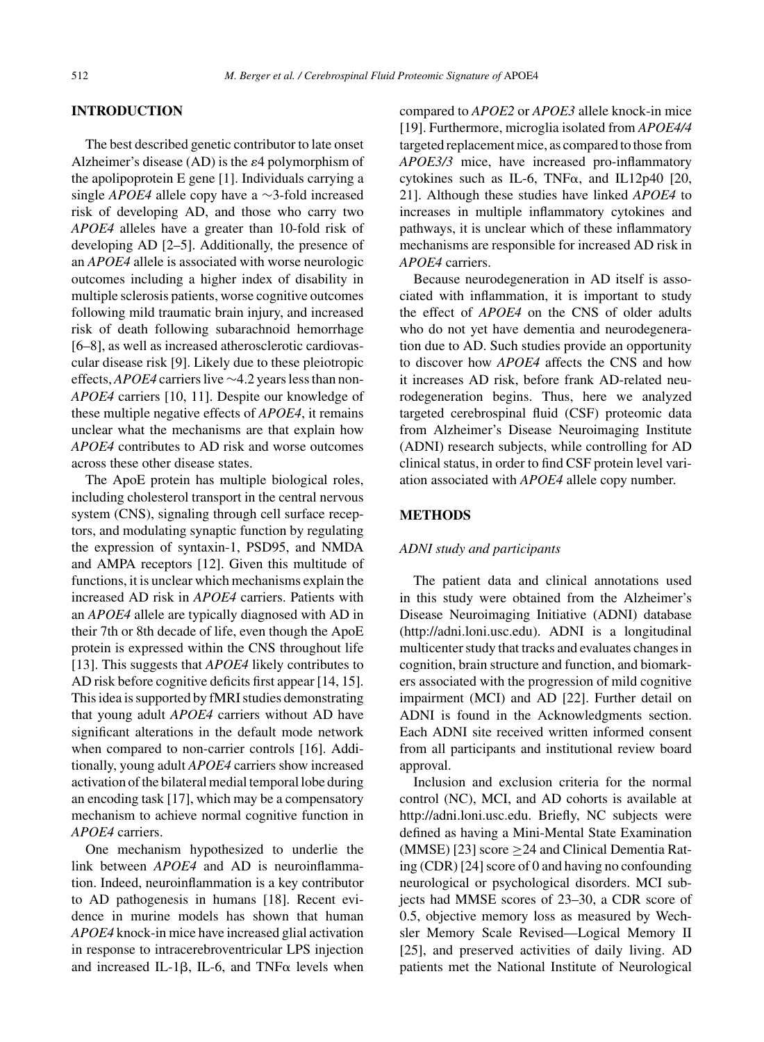# **INTRODUCTION**

The best described genetic contributor to late onset Alzheimer's disease (AD) is the  $\varepsilon$ 4 polymorphism of the apolipoprotein E gene [1]. Individuals carrying a single *APOE4* allele copy have a ∼3-fold increased risk of developing AD, and those who carry two *APOE4* alleles have a greater than 10-fold risk of developing AD [2–5]. Additionally, the presence of an *APOE4* allele is associated with worse neurologic outcomes including a higher index of disability in multiple sclerosis patients, worse cognitive outcomes following mild traumatic brain injury, and increased risk of death following subarachnoid hemorrhage [6–8], as well as increased atherosclerotic cardiovascular disease risk [9]. Likely due to these pleiotropic effects, *APOE4* carriers live ∼4.2 years less than non-*APOE4* carriers [10, 11]. Despite our knowledge of these multiple negative effects of *APOE4*, it remains unclear what the mechanisms are that explain how *APOE4* contributes to AD risk and worse outcomes across these other disease states.

The ApoE protein has multiple biological roles, including cholesterol transport in the central nervous system (CNS), signaling through cell surface receptors, and modulating synaptic function by regulating the expression of syntaxin-1, PSD95, and NMDA and AMPA receptors [12]. Given this multitude of functions, it is unclear which mechanisms explain the increased AD risk in *APOE4* carriers. Patients with an *APOE4* allele are typically diagnosed with AD in their 7th or 8th decade of life, even though the ApoE protein is expressed within the CNS throughout life [13]. This suggests that *APOE4* likely contributes to AD risk before cognitive deficits first appear [14, 15]. This idea is supported by fMRI studies demonstrating that young adult *APOE4* carriers without AD have significant alterations in the default mode network when compared to non-carrier controls [16]. Additionally, young adult *APOE4* carriers show increased activation of the bilateral medial temporal lobe during an encoding task [17], which may be a compensatory mechanism to achieve normal cognitive function in *APOE4* carriers.

One mechanism hypothesized to underlie the link between *APOE4* and AD is neuroinflammation. Indeed, neuroinflammation is a key contributor to AD pathogenesis in humans [18]. Recent evidence in murine models has shown that human *APOE4* knock-in mice have increased glial activation in response to intracerebroventricular LPS injection and increased IL-1 $\beta$ , IL-6, and TNF $\alpha$  levels when

compared to *APOE2* or *APOE3* allele knock-in mice [19]. Furthermore, microglia isolated from *APOE4/4* targeted replacement mice, as compared to those from *APOE3/3* mice, have increased pro-inflammatory cytokines such as IL-6, TNF $\alpha$ , and IL12p40 [20, 21]. Although these studies have linked *APOE4* to increases in multiple inflammatory cytokines and pathways, it is unclear which of these inflammatory mechanisms are responsible for increased AD risk in *APOE4* carriers.

Because neurodegeneration in AD itself is associated with inflammation, it is important to study the effect of *APOE4* on the CNS of older adults who do not yet have dementia and neurodegeneration due to AD. Such studies provide an opportunity to discover how *APOE4* affects the CNS and how it increases AD risk, before frank AD-related neurodegeneration begins. Thus, here we analyzed targeted cerebrospinal fluid (CSF) proteomic data from Alzheimer's Disease Neuroimaging Institute (ADNI) research subjects, while controlling for AD clinical status, in order to find CSF protein level variation associated with *APOE4* allele copy number.

# **METHODS**

# *ADNI study and participants*

The patient data and clinical annotations used in this study were obtained from the Alzheimer's Disease Neuroimaging Initiative (ADNI) database [\(http://adni.loni.usc.edu\)](http://adni.loni.usc.edu). ADNI is a longitudinal multicenter study that tracks and evaluates changes in cognition, brain structure and function, and biomarkers associated with the progression of mild cognitive impairment (MCI) and AD [22]. Further detail on ADNI is found in the Acknowledgments section. Each ADNI site received written informed consent from all participants and institutional review board approval.

Inclusion and exclusion criteria for the normal control (NC), MCI, and AD cohorts is available at <http://adni.loni.usc.edu>. Briefly, NC subjects were defined as having a Mini-Mental State Examination (MMSE) [23] score  $\geq$  24 and Clinical Dementia Rating (CDR) [24] score of 0 and having no confounding neurological or psychological disorders. MCI subjects had MMSE scores of 23–30, a CDR score of 0.5, objective memory loss as measured by Wechsler Memory Scale Revised—Logical Memory II [25], and preserved activities of daily living. AD patients met the National Institute of Neurological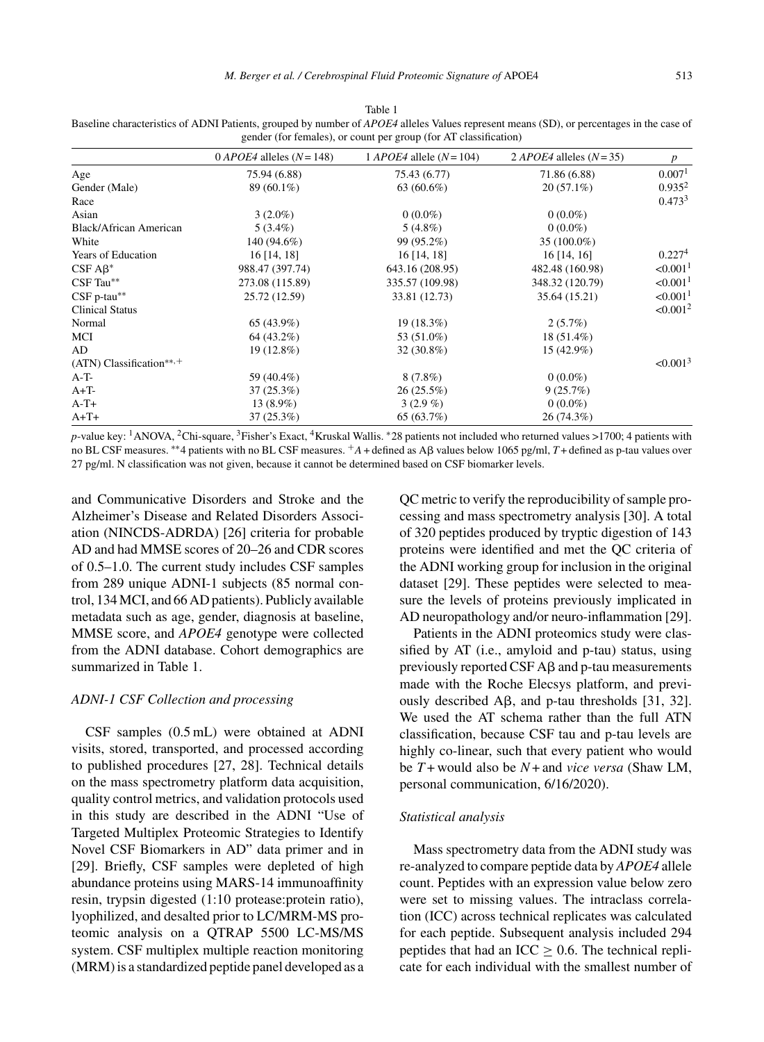| Table 1                                                                                                                                         |
|-------------------------------------------------------------------------------------------------------------------------------------------------|
| Baseline characteristics of ADNI Patients, grouped by number of <i>APOE4</i> alleles Values represent means (SD), or percentages in the case of |
| gender (for females), or count per group (for AT classification)                                                                                |

|                             | $0 APOE4$ alleles $(N = 148)$ | 1 <i>APOE4</i> allele $(N = 104)$ | 2 <i>APOE4</i> alleles $(N = 35)$ | $\boldsymbol{p}$     |
|-----------------------------|-------------------------------|-----------------------------------|-----------------------------------|----------------------|
| Age                         | 75.94 (6.88)                  | 75.43 (6.77)                      | 71.86 (6.88)                      | 0.007 <sup>1</sup>   |
| Gender (Male)               | 89 (60.1%)                    | $63(60.6\%)$                      | $20(57.1\%)$                      | $0.935^2$            |
| Race                        |                               |                                   |                                   | $0.473^{3}$          |
| Asian                       | $3(2.0\%)$                    | $0(0.0\%)$                        | $0(0.0\%)$                        |                      |
| Black/African American      | $5(3.4\%)$                    | $5(4.8\%)$                        | $0(0.0\%)$                        |                      |
| White                       | 140 (94.6%)                   | 99 (95.2%)                        | $35(100.0\%)$                     |                      |
| Years of Education          | $16$ [14, 18]                 | $16$ [14, 18]                     | $16$ [14, 16]                     | 0.227 <sup>4</sup>   |
| $CSF A\beta^*$              | 988.47 (397.74)               | 643.16 (208.95)                   | 482.48 (160.98)                   | < 0.001 <sup>1</sup> |
| CSF Tau**                   | 273.08 (115.89)               | 335.57 (109.98)                   | 348.32 (120.79)                   | $\leq 0.001^1$       |
| CSF p-tau**                 | 25.72 (12.59)                 | 33.81 (12.73)                     | 35.64 (15.21)                     | $\leq 0.001^1$       |
| <b>Clinical Status</b>      |                               |                                   |                                   | < 0.001 <sup>2</sup> |
| Normal                      | $65(43.9\%)$                  | 19 (18.3%)                        | 2(5.7%)                           |                      |
| MCI                         | 64 (43.2%)                    | 53 (51.0%)                        | 18 (51.4%)                        |                      |
| AD                          | 19 (12.8%)                    | 32 (30.8%)                        | 15 (42.9%)                        |                      |
| $(ATN)$ Classification**, + |                               |                                   |                                   | < 0.001 <sup>3</sup> |
| $A-T-$                      | 59 (40.4%)                    | $8(7.8\%)$                        | $0(0.0\%)$                        |                      |
| $A+T-$                      | 37(25.3%)                     | 26(25.5%)                         | 9(25.7%)                          |                      |
| $A-T+$                      | $13(8.9\%)$                   | $3(2.9\%)$                        | $0(0.0\%)$                        |                      |
| $A+T+$                      | 37 (25.3%)                    | 65 (63.7%)                        | 26 (74.3%)                        |                      |

*p*-value key: 1ANOVA, 2Chi-square, 3Fisher's Exact, 4Kruskal Wallis. <sup>∗</sup>28 patients not included who returned values >1700; 4 patients with no BL CSF measures. \*\*4 patients with no BL CSF measures. <sup>+</sup>A + defined as Aβ values below 1065 pg/ml, *T* + defined as p-tau values over 27 pg/ml. N classification was not given, because it cannot be determined based on CSF biomarker levels.

and Communicative Disorders and Stroke and the Alzheimer's Disease and Related Disorders Association (NINCDS-ADRDA) [26] criteria for probable AD and had MMSE scores of 20–26 and CDR scores of 0.5–1.0. The current study includes CSF samples from 289 unique ADNI-1 subjects (85 normal control, 134 MCI, and 66 AD patients). Publicly available metadata such as age, gender, diagnosis at baseline, MMSE score, and *APOE4* genotype were collected from the ADNI database. Cohort demographics are summarized in Table 1.

#### *ADNI-1 CSF Collection and processing*

CSF samples (0.5 mL) were obtained at ADNI visits, stored, transported, and processed according to published procedures [27, 28]. Technical details on the mass spectrometry platform data acquisition, quality control metrics, and validation protocols used in this study are described in the ADNI "Use of Targeted Multiplex Proteomic Strategies to Identify Novel CSF Biomarkers in AD" data primer and in [29]. Briefly, CSF samples were depleted of high abundance proteins using MARS-14 immunoaffinity resin, trypsin digested (1:10 protease:protein ratio), lyophilized, and desalted prior to LC/MRM-MS proteomic analysis on a QTRAP 5500 LC-MS/MS system. CSF multiplex multiple reaction monitoring (MRM) is a standardized peptide panel developed as a

QC metric to verify the reproducibility of sample processing and mass spectrometry analysis [30]. A total of 320 peptides produced by tryptic digestion of 143 proteins were identified and met the QC criteria of the ADNI working group for inclusion in the original dataset [29]. These peptides were selected to measure the levels of proteins previously implicated in AD neuropathology and/or neuro-inflammation [29].

Patients in the ADNI proteomics study were classified by AT (i.e., amyloid and p-tau) status, using previously reported  $CSF$  A $\beta$  and p-tau measurements made with the Roche Elecsys platform, and previously described  $\mathsf{A}\mathsf{B}$ , and p-tau thresholds [31, 32]. We used the AT schema rather than the full ATN classification, because CSF tau and p-tau levels are highly co-linear, such that every patient who would be *T* + would also be *N*+ and *vice versa* (Shaw LM, personal communication, 6/16/2020).

#### *Statistical analysis*

Mass spectrometry data from the ADNI study was re-analyzed to compare peptide data by *APOE4* allele count. Peptides with an expression value below zero were set to missing values. The intraclass correlation (ICC) across technical replicates was calculated for each peptide. Subsequent analysis included 294 peptides that had an ICC  $\geq$  0.6. The technical replicate for each individual with the smallest number of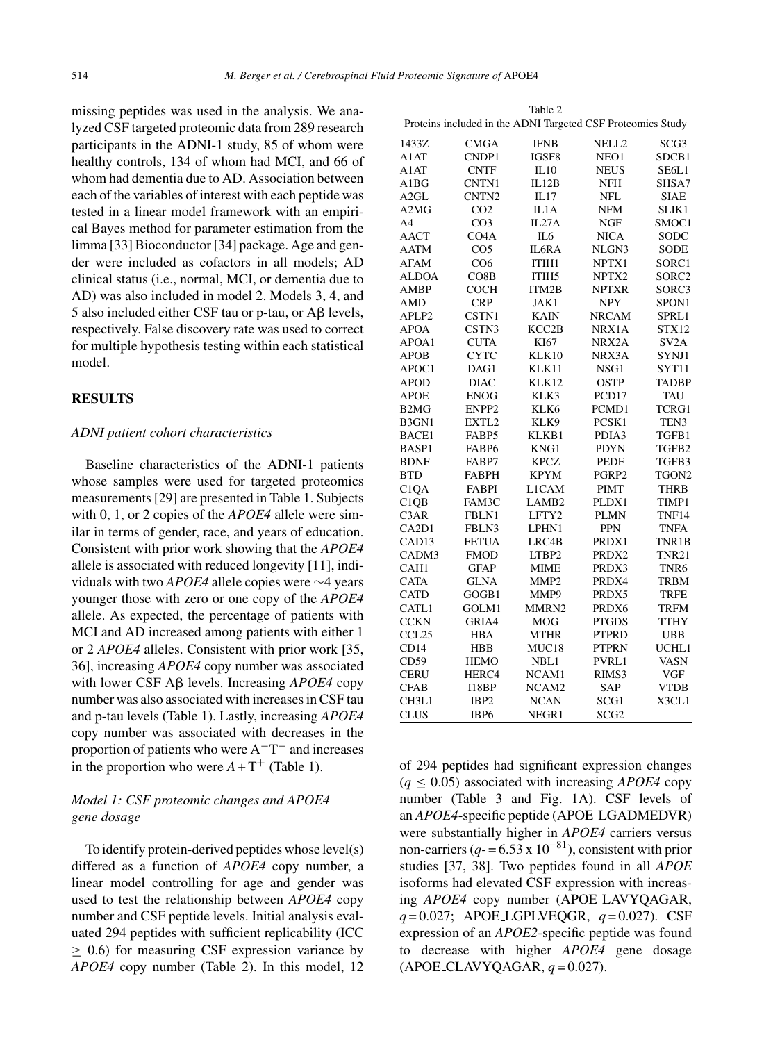missing peptides was used in the analysis. We analyzed CSF targeted proteomic data from 289 research participants in the ADNI-1 study, 85 of whom were healthy controls, 134 of whom had MCI, and 66 of whom had dementia due to AD. Association between each of the variables of interest with each peptide was tested in a linear model framework with an empirical Bayes method for parameter estimation from the limma [33] Bioconductor [34] package. Age and gender were included as cofactors in all models; AD clinical status (i.e., normal, MCI, or dementia due to AD) was also included in model 2. Models 3, 4, and  $5$  also included either CSF tau or p-tau, or A $\beta$  levels, respectively. False discovery rate was used to correct for multiple hypothesis testing within each statistical model.

# **RESULTS**

#### *ADNI patient cohort characteristics*

Baseline characteristics of the ADNI-1 patients whose samples were used for targeted proteomics measurements [29] are presented in Table 1. Subjects with 0, 1, or 2 copies of the *APOE4* allele were similar in terms of gender, race, and years of education. Consistent with prior work showing that the *APOE4* allele is associated with reduced longevity [11], individuals with two *APOE4* allele copies were ∼4 years younger those with zero or one copy of the *APOE4* allele. As expected, the percentage of patients with MCI and AD increased among patients with either 1 or 2 *APOE4* alleles. Consistent with prior work [35, 36], increasing *APOE4* copy number was associated with lower CSF Aβ levels. Increasing *APOE4* copy number was also associated with increases in CSF tau and p-tau levels (Table 1). Lastly, increasing *APOE4* copy number was associated with decreases in the proportion of patients who were A−T− and increases in the proportion who were  $A + T^+$  (Table 1).

# *Model 1: CSF proteomic changes and APOE4 gene dosage*

To identify protein-derived peptides whose level(s) differed as a function of *APOE4* copy number, a linear model controlling for age and gender was used to test the relationship between *APOE4* copy number and CSF peptide levels. Initial analysis evaluated 294 peptides with sufficient replicability (ICC  $\geq$  0.6) for measuring CSF expression variance by *APOE4* copy number (Table 2). In this model, 12

|                                |                   | Table 2                                                     |                   |                   |
|--------------------------------|-------------------|-------------------------------------------------------------|-------------------|-------------------|
|                                |                   | Proteins included in the ADNI Targeted CSF Proteomics Study |                   |                   |
| 1433Z                          | <b>CMGA</b>       | <b>IFNB</b>                                                 | NELL2             | SCG3              |
| A1AT                           | CNDP1             | IGSF8                                                       | NEO1              | SDCB1             |
| A1AT                           | <b>CNTF</b>       | IL10                                                        | <b>NEUS</b>       | SE6L1             |
| A1BG                           | CNTN1             | IL12B                                                       | NFH               | SHSA7             |
| A2GL                           | CNTN2             | IL17                                                        | NFL               | <b>SIAE</b>       |
| A2MG                           | CO <sub>2</sub>   | IL1A                                                        | NFM               | SLIK1             |
| A4                             | CO <sub>3</sub>   | IL27A                                                       | NGF               | SMOC1             |
| AACT                           | CO <sub>4</sub> A | IL6                                                         | NICA              | SODC              |
| AATM                           | CO <sub>5</sub>   | IL6RA                                                       | NLGN3             | SODE              |
| AFAM                           | CO <sub>6</sub>   | ITIH1                                                       | NPTX1             | SORC1             |
| ALDOA                          | CO8B              | ITIH <sub>5</sub>                                           | NPTX2             | SORC2             |
| AMBP                           | <b>COCH</b>       | ITM2B                                                       | <b>NPTXR</b>      | SORC3             |
| AMD                            | <b>CRP</b>        | JAK1                                                        | <b>NPY</b>        | SPON1             |
| APLP2                          | CSTN1             | KAIN                                                        | NRCAM             | SPRL1             |
| <b>APOA</b>                    | CSTN3             | KCC2B                                                       | NRX1A             | STX12             |
| APOA1                          | <b>CUTA</b>       | KI67                                                        | NRX2A             | SV <sub>2</sub> A |
| <b>APOB</b>                    | CYTC              | KLK10                                                       | NRX3A             | SYNJ1             |
| APOC1                          | DAG1              | KLK11                                                       | NSG1              | SYT11             |
| APOD                           | DIAC              | KLK12                                                       | OSTP              | TADBP             |
| APOE                           | <b>ENOG</b>       | KLK3                                                        | PCD <sub>17</sub> | TAU               |
| B <sub>2</sub> M <sub>G</sub>  | ENPP <sub>2</sub> | KLK6                                                        | PCMD1             | TCRG1             |
| B3GN1                          | EXTL2             | KLK9                                                        | PCSK1             | TEN3              |
| <b>BACE1</b>                   | FABP5             | KLKB1                                                       | PDIA3             | TGFB1             |
| <b>BASP1</b>                   | FABP6             | KNG1                                                        | <b>PDYN</b>       | TGFB2             |
| <b>BDNF</b>                    | FABP7             | <b>KPCZ</b>                                                 | PEDF              | TGFB3             |
| <b>BTD</b>                     | <b>FABPH</b>      | <b>KPYM</b>                                                 | PGRP2             | TGON2             |
| C <sub>1</sub> QA              | FABPI             | L1CAM                                                       | PIMT              | THRB              |
| C1OB                           | FAM3C             | LAMB <sub>2</sub>                                           | PLDX1             | TIMP1             |
| C <sub>3</sub> AR              | FBLN1             | LFTY2                                                       | <b>PLMN</b>       | TNF14             |
| CA <sub>2</sub> D <sub>1</sub> | FBLN3             | LPHN1                                                       | <b>PPN</b>        | TNFA              |
| CAD <sub>13</sub>              | <b>FETUA</b>      | LRC4B                                                       | PRDX1             | TNR1B             |
| CADM3                          | <b>FMOD</b>       | LTBP2                                                       | PRDX2             | TNR21             |
| CAH1                           | <b>GFAP</b>       | MIME                                                        | PRDX3             | TNR6              |
| <b>CATA</b>                    | <b>GLNA</b>       | MMP <sub>2</sub>                                            | PRDX4             | <b>TRBM</b>       |
| <b>CATD</b>                    | GOGB1             | MMP9                                                        | PRDX5             | TRFE              |
| CATL1                          | GOLM1             | MMRN2                                                       | PRDX6             | TRFM              |
| <b>CCKN</b>                    | GRIA4             | MOG                                                         | <b>PTGDS</b>      | <b>TTHY</b>       |
| CCL <sub>25</sub>              | HBA               | MTHR                                                        | <b>PTPRD</b>      | UBB               |
| CD14                           | HBB               | MUC18                                                       | PTPRN             | UCHL1             |
| CD59                           | <b>HEMO</b>       | NBL1                                                        | PVRL1             | VASN              |
| <b>CERU</b>                    | HERC4             | NCAM1                                                       | RIMS3             | VGF               |
| <b>CFAB</b>                    | <b>I18BP</b>      | NCAM <sub>2</sub>                                           | SAP               | VTDB              |
| CH3L1                          | IBP <sub>2</sub>  | <b>NCAN</b>                                                 | SCG1              | X3CL1             |
| <b>CLUS</b>                    | IBP <sub>6</sub>  | NEGR1                                                       | SCG <sub>2</sub>  |                   |

of 294 peptides had significant expression changes  $(q \leq 0.05)$  associated with increasing *APOE4* copy number (Table 3 and Fig. 1A). CSF levels of an *APOE4*-specific peptide (APOE LGADMEDVR) were substantially higher in *APOE4* carriers versus non-carriers ( $q = 6.53 \times 10^{-81}$ ), consistent with prior studies [37, 38]. Two peptides found in all *APOE* isoforms had elevated CSF expression with increasing *APOE4* copy number (APOE LAVYQAGAR, *q* = 0.027; APOE LGPLVEQGR, *q* = 0.027). CSF expression of an *APOE2*-specific peptide was found to decrease with higher *APOE4* gene dosage (APOE CLAVYQAGAR, *q* = 0.027).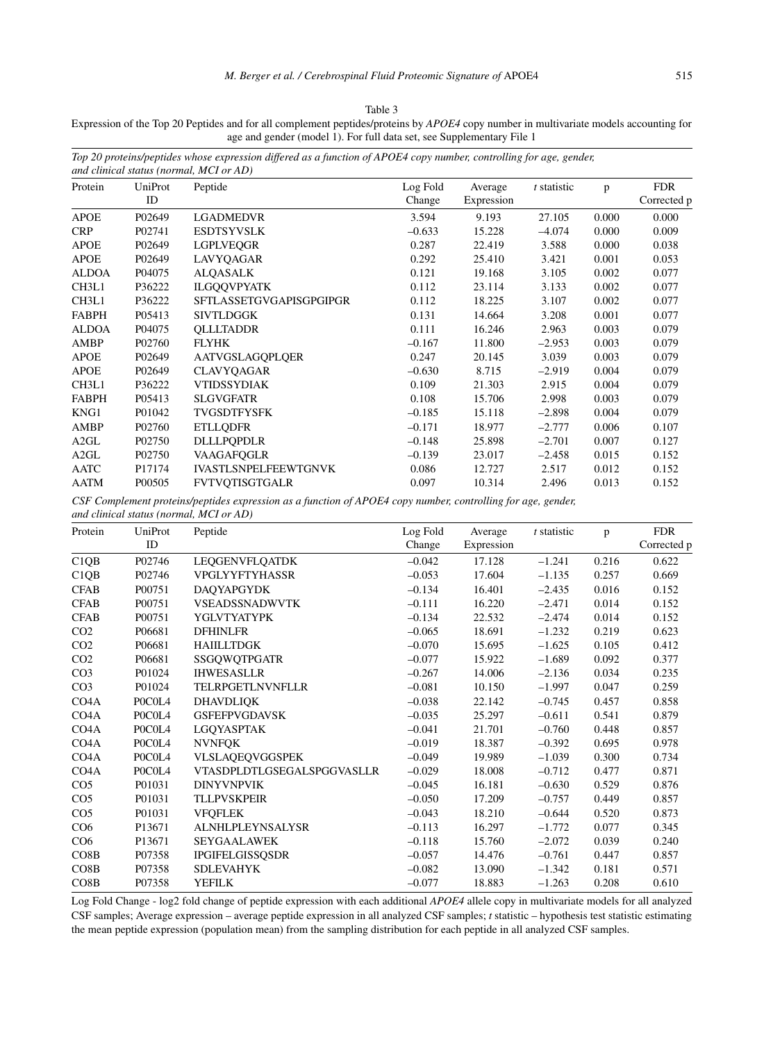Expression of the Top 20 Peptides and for all complement peptides/proteins by *APOE4* copy number in multivariate models accounting for age and gender (model 1). For full data set, see Supplementary File 1

|              |                    | Top 20 proteins/peptides whose expression differed as a function of APOE4 copy number, controlling for age, gender,<br>and clinical status (normal, MCI or AD) |                    |                       |             |       |                           |
|--------------|--------------------|----------------------------------------------------------------------------------------------------------------------------------------------------------------|--------------------|-----------------------|-------------|-------|---------------------------|
| Protein      | UniProt<br>ID      | Peptide                                                                                                                                                        | Log Fold<br>Change | Average<br>Expression | t statistic | p     | <b>FDR</b><br>Corrected p |
| <b>APOE</b>  | P02649             | <b>LGADMEDVR</b>                                                                                                                                               | 3.594              | 9.193                 | 27.105      | 0.000 | 0.000                     |
| <b>CRP</b>   | P02741             | <b>ESDTSYVSLK</b>                                                                                                                                              | $-0.633$           | 15.228                | $-4.074$    | 0.000 | 0.009                     |
| <b>APOE</b>  | P02649             | LGPLVEQGR                                                                                                                                                      | 0.287              | 22.419                | 3.588       | 0.000 | 0.038                     |
| <b>APOE</b>  | P02649             | LAVYOAGAR                                                                                                                                                      | 0.292              | 25.410                | 3.421       | 0.001 | 0.053                     |
| <b>ALDOA</b> | P04075             | ALOASALK                                                                                                                                                       | 0.121              | 19.168                | 3.105       | 0.002 | 0.077                     |
| CH3L1        | P36222             | <b>ILGOOVPYATK</b>                                                                                                                                             | 0.112              | 23.114                | 3.133       | 0.002 | 0.077                     |
| CH3L1        | P36222             | <b>SFTLASSETGVGAPISGPGIPGR</b>                                                                                                                                 | 0.112              | 18.225                | 3.107       | 0.002 | 0.077                     |
| FABPH        | P05413             | <b>SIVTLDGGK</b>                                                                                                                                               | 0.131              | 14.664                | 3.208       | 0.001 | 0.077                     |
| <b>ALDOA</b> | P04075             | <b>OLLLTADDR</b>                                                                                                                                               | 0.111              | 16.246                | 2.963       | 0.003 | 0.079                     |
| AMBP         | P02760             | <b>FLYHK</b>                                                                                                                                                   | $-0.167$           | 11.800                | $-2.953$    | 0.003 | 0.079                     |
| <b>APOE</b>  | P02649             | AATVGSLAGQPLQER                                                                                                                                                | 0.247              | 20.145                | 3.039       | 0.003 | 0.079                     |
| <b>APOE</b>  | P <sub>02649</sub> | <b>CLAVYOAGAR</b>                                                                                                                                              | $-0.630$           | 8.715                 | $-2.919$    | 0.004 | 0.079                     |
| CH3L1        | P36222             | <b>VTIDSSYDIAK</b>                                                                                                                                             | 0.109              | 21.303                | 2.915       | 0.004 | 0.079                     |
| <b>FABPH</b> | P05413             | <b>SLGVGFATR</b>                                                                                                                                               | 0.108              | 15.706                | 2.998       | 0.003 | 0.079                     |
| KNG1         | P01042             | <b>TVGSDTFYSFK</b>                                                                                                                                             | $-0.185$           | 15.118                | $-2.898$    | 0.004 | 0.079                     |
| AMBP         | P02760             | <b>ETLLQDFR</b>                                                                                                                                                | $-0.171$           | 18.977                | $-2.777$    | 0.006 | 0.107                     |
| A2GL         | P02750             | <b>DLLLPOPDLR</b>                                                                                                                                              | $-0.148$           | 25.898                | $-2.701$    | 0.007 | 0.127                     |
| A2GL         | P02750             | VAAGAFQGLR                                                                                                                                                     | $-0.139$           | 23.017                | $-2.458$    | 0.015 | 0.152                     |
| AATC         | P17174             | <b>IVASTLSNPELFEEWTGNVK</b>                                                                                                                                    | 0.086              | 12.727                | 2.517       | 0.012 | 0.152                     |
| AATM         | P00505             | <b>FVTVOTISGTGALR</b>                                                                                                                                          | 0.097              | 10.314                | 2.496       | 0.013 | 0.152                     |

*CSF Complement proteins/peptides expression as a function of APOE4 copy number, controlling for age, gender, and clinical status (normal, MCI or AD)*

| Protein           | UniProt            | Peptide                           | Log Fold | Average    | t statistic | p     | <b>FDR</b>  |
|-------------------|--------------------|-----------------------------------|----------|------------|-------------|-------|-------------|
|                   | ID                 |                                   | Change   | Expression |             |       | Corrected p |
| C1QB              | P02746             | <b>LEQGENVFLQATDK</b>             | $-0.042$ | 17.128     | $-1.241$    | 0.216 | 0.622       |
| C1QB              | P02746             | VPGLYYFTYHASSR                    | $-0.053$ | 17.604     | $-1.135$    | 0.257 | 0.669       |
| <b>CFAB</b>       | P00751             | DAQYAPGYDK                        | $-0.134$ | 16.401     | $-2.435$    | 0.016 | 0.152       |
| <b>CFAB</b>       | P00751             | <b>VSEADSSNADWVTK</b>             | $-0.111$ | 16.220     | $-2.471$    | 0.014 | 0.152       |
| <b>CFAB</b>       | P00751             | YGLVTYATYPK                       | $-0.134$ | 22.532     | $-2.474$    | 0.014 | 0.152       |
| CO <sub>2</sub>   | P06681             | <b>DFHINLFR</b>                   | $-0.065$ | 18.691     | $-1.232$    | 0.219 | 0.623       |
| CO <sub>2</sub>   | P06681             | <b>HAIILLTDGK</b>                 | $-0.070$ | 15.695     | $-1.625$    | 0.105 | 0.412       |
| CO <sub>2</sub>   | P06681             | <b>SSGQWQTPGATR</b>               | $-0.077$ | 15.922     | $-1.689$    | 0.092 | 0.377       |
| CO <sub>3</sub>   | P01024             | <b>IHWESASLLR</b>                 | $-0.267$ | 14.006     | $-2.136$    | 0.034 | 0.235       |
| CO <sub>3</sub>   | P01024             | <b>TELRPGETLNVNFLLR</b>           | $-0.081$ | 10.150     | $-1.997$    | 0.047 | 0.259       |
| CO <sub>4</sub> A | POCOL4             | <b>DHAVDLIQK</b>                  | $-0.038$ | 22.142     | $-0.745$    | 0.457 | 0.858       |
| CO <sub>4</sub> A | POCOL4             | <b>GSFEFPVGDAVSK</b>              | $-0.035$ | 25.297     | $-0.611$    | 0.541 | 0.879       |
| CO <sub>4</sub> A | POCOL4             | LGQYASPTAK                        | $-0.041$ | 21.701     | $-0.760$    | 0.448 | 0.857       |
| CO <sub>4</sub> A | POCOL4             | <b>NVNFQK</b>                     | $-0.019$ | 18.387     | $-0.392$    | 0.695 | 0.978       |
| CO <sub>4</sub> A | POCOL4             | VLSLAQEQVGGSPEK                   | $-0.049$ | 19.989     | $-1.039$    | 0.300 | 0.734       |
| CO <sub>4</sub> A | POCOL4             | <b>VTASDPLDTLGSEGALSPGGVASLLR</b> | $-0.029$ | 18.008     | $-0.712$    | 0.477 | 0.871       |
| CO <sub>5</sub>   | P01031             | <b>DINYVNPVIK</b>                 | $-0.045$ | 16.181     | $-0.630$    | 0.529 | 0.876       |
| CO <sub>5</sub>   | P01031             | <b>TLLPVSKPEIR</b>                | $-0.050$ | 17.209     | $-0.757$    | 0.449 | 0.857       |
| CO <sub>5</sub>   | P01031             | <b>VFOFLEK</b>                    | $-0.043$ | 18.210     | $-0.644$    | 0.520 | 0.873       |
| CO6               | P13671             | <b>ALNHLPLEYNSALYSR</b>           | $-0.113$ | 16.297     | $-1.772$    | 0.077 | 0.345       |
| CO6               | P <sub>13671</sub> | <b>SEYGAALAWEK</b>                | $-0.118$ | 15.760     | $-2.072$    | 0.039 | 0.240       |
| CO8B              | P07358             | <b>IPGIFELGISSQSDR</b>            | $-0.057$ | 14.476     | $-0.761$    | 0.447 | 0.857       |
| CO8B              | P07358             | <b>SDLEVAHYK</b>                  | $-0.082$ | 13.090     | $-1.342$    | 0.181 | 0.571       |
| CO8B              | P07358             | <b>YEFILK</b>                     | $-0.077$ | 18.883     | $-1.263$    | 0.208 | 0.610       |

Log Fold Change - log2 fold change of peptide expression with each additional *APOE4* allele copy in multivariate models for all analyzed CSF samples; Average expression – average peptide expression in all analyzed CSF samples; *t* statistic – hypothesis test statistic estimating the mean peptide expression (population mean) from the sampling distribution for each peptide in all analyzed CSF samples.

Table 3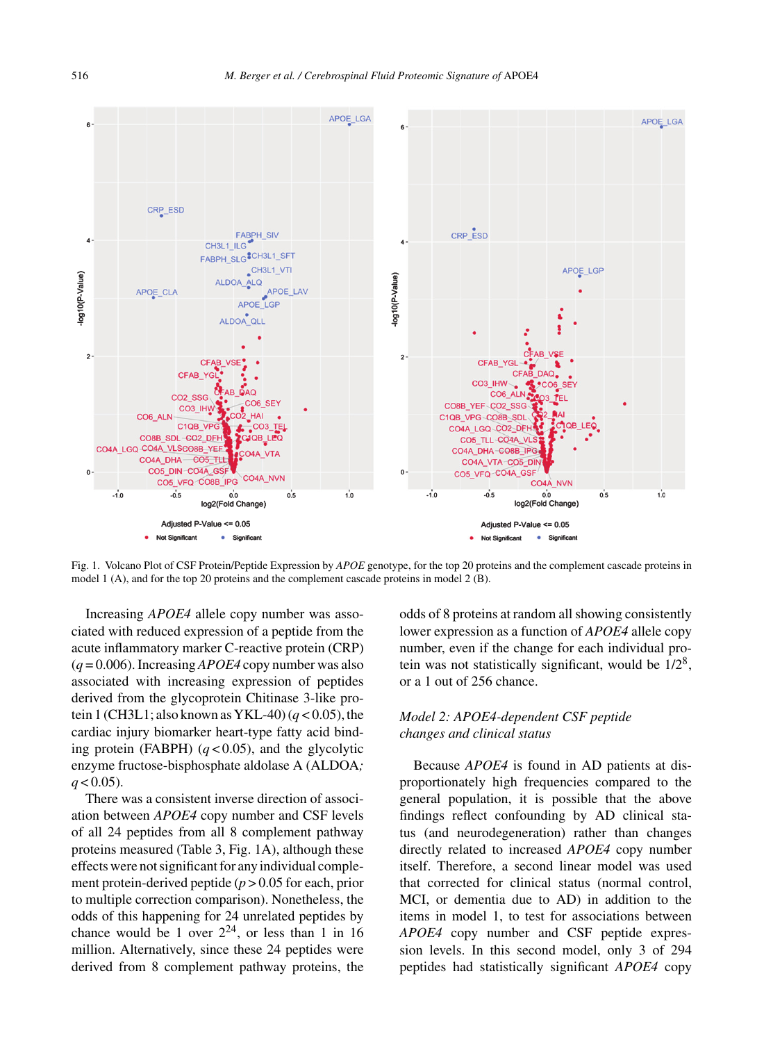

Fig. 1. Volcano Plot of CSF Protein/Peptide Expression by *APOE* genotype, for the top 20 proteins and the complement cascade proteins in model 1 (A), and for the top 20 proteins and the complement cascade proteins in model 2 (B).

Increasing *APOE4* allele copy number was associated with reduced expression of a peptide from the acute inflammatory marker C-reactive protein (CRP) (*q* = 0.006). Increasing *APOE4* copy number was also associated with increasing expression of peptides derived from the glycoprotein Chitinase 3-like protein 1 (CH3L1; also known as YKL-40) ( $q < 0.05$ ), the cardiac injury biomarker heart-type fatty acid binding protein (FABPH)  $(q<0.05)$ , and the glycolytic enzyme fructose-bisphosphate aldolase A (ALDOA*;*  $q < 0.05$ ).

There was a consistent inverse direction of association between *APOE4* copy number and CSF levels of all 24 peptides from all 8 complement pathway proteins measured (Table 3, Fig. 1A), although these effects were not significant for any individual complement protein-derived peptide (*p* > 0.05 for each, prior to multiple correction comparison). Nonetheless, the odds of this happening for 24 unrelated peptides by chance would be 1 over  $2^{24}$ , or less than 1 in 16 million. Alternatively, since these 24 peptides were derived from 8 complement pathway proteins, the odds of 8 proteins at random all showing consistently lower expression as a function of *APOE4* allele copy number, even if the change for each individual protein was not statistically significant, would be  $1/2^8$ , or a 1 out of 256 chance.

# *Model 2: APOE4-dependent CSF peptide changes and clinical status*

Because *APOE4* is found in AD patients at disproportionately high frequencies compared to the general population, it is possible that the above findings reflect confounding by AD clinical status (and neurodegeneration) rather than changes directly related to increased *APOE4* copy number itself. Therefore, a second linear model was used that corrected for clinical status (normal control, MCI, or dementia due to AD) in addition to the items in model 1, to test for associations between *APOE4* copy number and CSF peptide expression levels. In this second model, only 3 of 294 peptides had statistically significant *APOE4* copy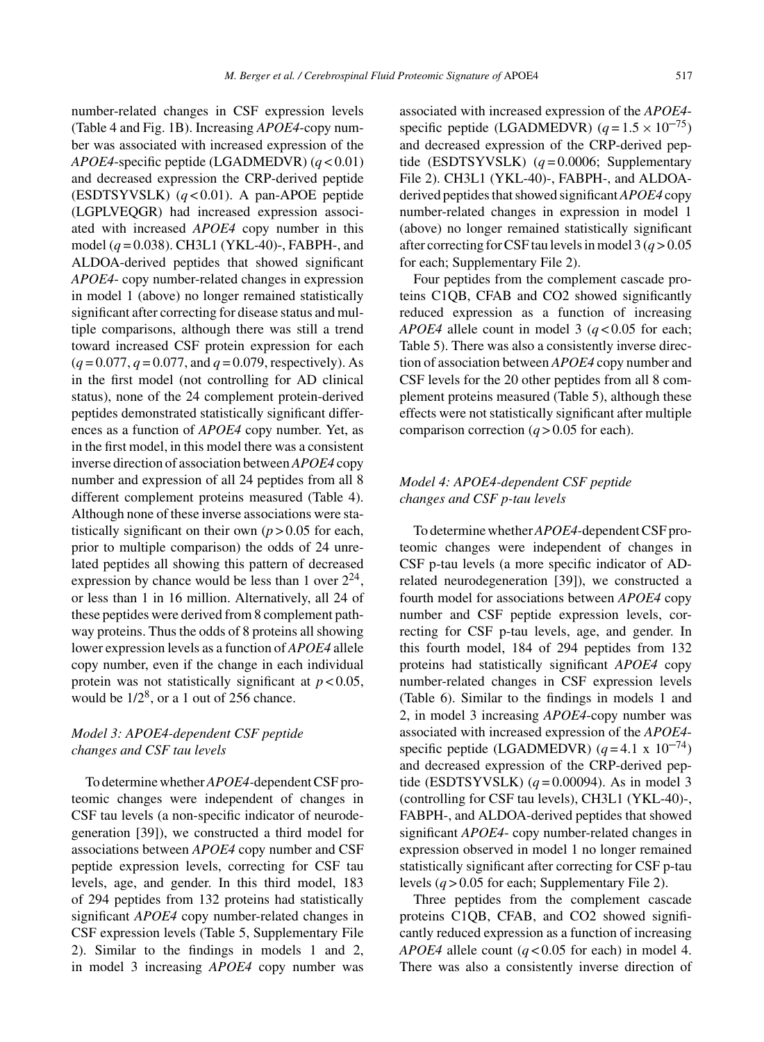number-related changes in CSF expression levels (Table 4 and Fig. 1B). Increasing *APOE4*-copy number was associated with increased expression of the *APOE4*-specific peptide (LGADMEDVR) (*q* < 0.01) and decreased expression the CRP-derived peptide (ESDTSYVSLK) (*q* < 0.01). A pan-APOE peptide (LGPLVEQGR) had increased expression associated with increased *APOE4* copy number in this model (*q* = 0.038). CH3L1 (YKL-40)-, FABPH-, and ALDOA-derived peptides that showed significant *APOE4*- copy number-related changes in expression in model 1 (above) no longer remained statistically significant after correcting for disease status and multiple comparisons, although there was still a trend toward increased CSF protein expression for each (*q* = 0.077, *q* = 0.077, and *q* = 0.079, respectively). As in the first model (not controlling for AD clinical status), none of the 24 complement protein-derived peptides demonstrated statistically significant differences as a function of *APOE4* copy number. Yet, as in the first model, in this model there was a consistent inverse direction of association between *APOE4* copy number and expression of all 24 peptides from all 8 different complement proteins measured (Table 4). Although none of these inverse associations were statistically significant on their own  $(p > 0.05$  for each, prior to multiple comparison) the odds of 24 unrelated peptides all showing this pattern of decreased expression by chance would be less than 1 over  $2^{24}$ , or less than 1 in 16 million. Alternatively, all 24 of these peptides were derived from 8 complement pathway proteins. Thus the odds of 8 proteins all showing lower expression levels as a function of *APOE4* allele copy number, even if the change in each individual protein was not statistically significant at *p* < 0.05,

# *Model 3: APOE4-dependent CSF peptide changes and CSF tau levels*

would be  $1/2^8$ , or a 1 out of 256 chance.

To determine whether*APOE4-*dependent CSF proteomic changes were independent of changes in CSF tau levels (a non-specific indicator of neurodegeneration [39]), we constructed a third model for associations between *APOE4* copy number and CSF peptide expression levels, correcting for CSF tau levels, age, and gender. In this third model, 183 of 294 peptides from 132 proteins had statistically significant *APOE4* copy number-related changes in CSF expression levels (Table 5, Supplementary File 2). Similar to the findings in models 1 and 2, in model 3 increasing *APOE4* copy number was

associated with increased expression of the *APOE4* specific peptide (LGADMEDVR)  $(q = 1.5 \times 10^{-75})$ and decreased expression of the CRP-derived peptide (ESDTSYVSLK) (*q* = 0.0006; Supplementary File 2). CH3L1 (YKL-40)-, FABPH-, and ALDOAderived peptides that showed significant *APOE4* copy number-related changes in expression in model 1 (above) no longer remained statistically significant after correcting for CSF tau levels in model 3 (*q* > 0.05 for each; Supplementary File 2).

Four peptides from the complement cascade proteins C1QB, CFAB and CO2 showed significantly reduced expression as a function of increasing *APOE4* allele count in model 3 (*q* < 0.05 for each; Table 5). There was also a consistently inverse direction of association between *APOE4* copy number and CSF levels for the 20 other peptides from all 8 complement proteins measured (Table 5), although these effects were not statistically significant after multiple comparison correction  $(q > 0.05$  for each).

# *Model 4: APOE4-dependent CSF peptide changes and CSF p-tau levels*

To determine whether*APOE4-*dependent CSF proteomic changes were independent of changes in CSF p-tau levels (a more specific indicator of ADrelated neurodegeneration [39]), we constructed a fourth model for associations between *APOE4* copy number and CSF peptide expression levels, correcting for CSF p-tau levels, age, and gender. In this fourth model, 184 of 294 peptides from 132 proteins had statistically significant *APOE4* copy number-related changes in CSF expression levels (Table 6). Similar to the findings in models 1 and 2, in model 3 increasing *APOE4*-copy number was associated with increased expression of the *APOE4* specific peptide (LGADMEDVR)  $(q=4.1 \times 10^{-74})$ and decreased expression of the CRP-derived peptide (ESDTSYVSLK)  $(q=0.00094)$ . As in model 3 (controlling for CSF tau levels), CH3L1 (YKL-40)-, FABPH-, and ALDOA-derived peptides that showed significant *APOE4*- copy number-related changes in expression observed in model 1 no longer remained statistically significant after correcting for CSF p-tau levels (*q* > 0.05 for each; Supplementary File 2).

Three peptides from the complement cascade proteins C1QB, CFAB, and CO2 showed significantly reduced expression as a function of increasing *APOE4* allele count  $(q<0.05$  for each) in model 4. There was also a consistently inverse direction of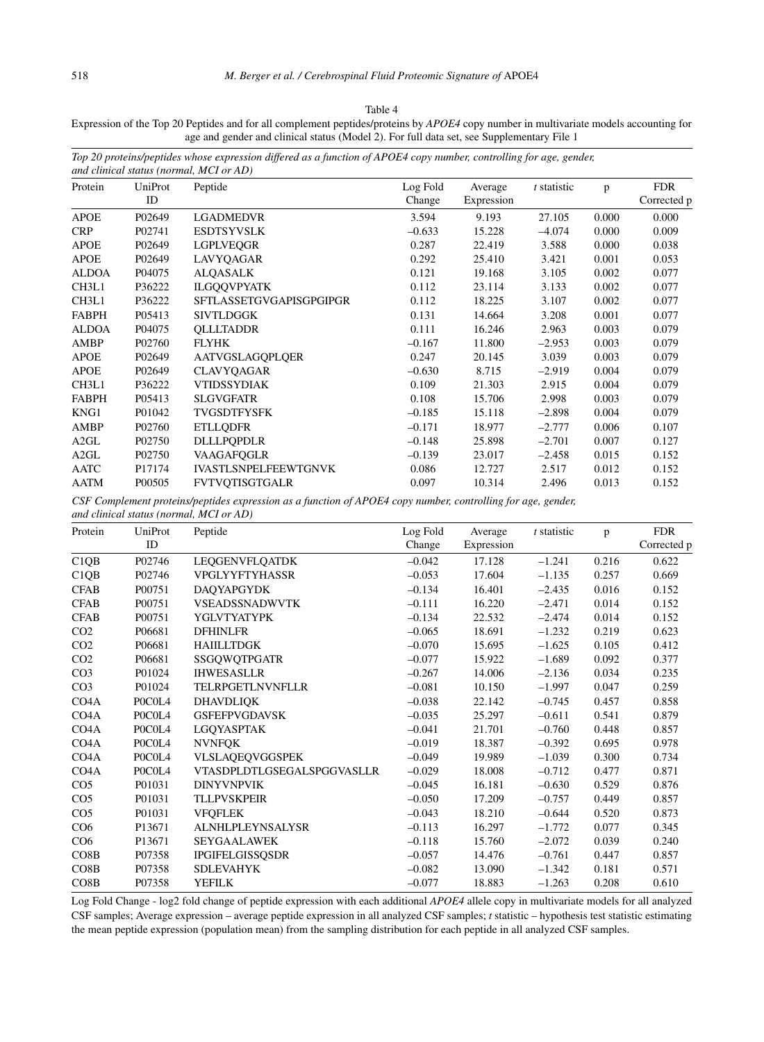| Table 4                                                                                                                                      |
|----------------------------------------------------------------------------------------------------------------------------------------------|
| Expression of the Top 20 Peptides and for all complement peptides/proteins by <i>APOE4</i> copy number in multivariate models accounting for |
| age and gender and clinical status (Model 2). For full data set, see Supplementary File 1                                                    |

|              |                    | Top 20 proteins/peptides whose expression differed as a function of APOE4 copy number, controlling for age, gender,<br>and clinical status (normal, MCI or AD) |                    |                       |             |       |                           |
|--------------|--------------------|----------------------------------------------------------------------------------------------------------------------------------------------------------------|--------------------|-----------------------|-------------|-------|---------------------------|
| Protein      | UniProt<br>ID      | Peptide                                                                                                                                                        | Log Fold<br>Change | Average<br>Expression | t statistic | p     | <b>FDR</b><br>Corrected p |
| <b>APOE</b>  | P02649             | <b>LGADMEDVR</b>                                                                                                                                               | 3.594              | 9.193                 | 27.105      | 0.000 | 0.000                     |
| <b>CRP</b>   | P02741             | <b>ESDTSYVSLK</b>                                                                                                                                              | $-0.633$           | 15.228                | $-4.074$    | 0.000 | 0.009                     |
| <b>APOE</b>  | P02649             | LGPLVEQGR                                                                                                                                                      | 0.287              | 22.419                | 3.588       | 0.000 | 0.038                     |
| <b>APOE</b>  | P02649             | LAVYOAGAR                                                                                                                                                      | 0.292              | 25.410                | 3.421       | 0.001 | 0.053                     |
| <b>ALDOA</b> | P04075             | ALOASALK                                                                                                                                                       | 0.121              | 19.168                | 3.105       | 0.002 | 0.077                     |
| CH3L1        | P36222             | <b>ILGOOVPYATK</b>                                                                                                                                             | 0.112              | 23.114                | 3.133       | 0.002 | 0.077                     |
| CH3L1        | P36222             | <b>SFTLASSETGVGAPISGPGIPGR</b>                                                                                                                                 | 0.112              | 18.225                | 3.107       | 0.002 | 0.077                     |
| <b>FABPH</b> | P05413             | <b>SIVTLDGGK</b>                                                                                                                                               | 0.131              | 14.664                | 3.208       | 0.001 | 0.077                     |
| <b>ALDOA</b> | P04075             | <b>OLLLTADDR</b>                                                                                                                                               | 0.111              | 16.246                | 2.963       | 0.003 | 0.079                     |
| AMBP         | P02760             | <b>FLYHK</b>                                                                                                                                                   | $-0.167$           | 11.800                | $-2.953$    | 0.003 | 0.079                     |
| <b>APOE</b>  | P02649             | AATVGSLAGQPLQER                                                                                                                                                | 0.247              | 20.145                | 3.039       | 0.003 | 0.079                     |
| <b>APOE</b>  | P <sub>02649</sub> | <b>CLAVYOAGAR</b>                                                                                                                                              | $-0.630$           | 8.715                 | $-2.919$    | 0.004 | 0.079                     |
| CH3L1        | P36222             | <b>VTIDSSYDIAK</b>                                                                                                                                             | 0.109              | 21.303                | 2.915       | 0.004 | 0.079                     |
| <b>FABPH</b> | P05413             | <b>SLGVGFATR</b>                                                                                                                                               | 0.108              | 15.706                | 2.998       | 0.003 | 0.079                     |
| KNG1         | P01042             | TVGSDTFYSFK                                                                                                                                                    | $-0.185$           | 15.118                | $-2.898$    | 0.004 | 0.079                     |
| AMBP         | P02760             | <b>ETLLQDFR</b>                                                                                                                                                | $-0.171$           | 18.977                | $-2.777$    | 0.006 | 0.107                     |
| A2GL         | P02750             | <b>DLLLPOPDLR</b>                                                                                                                                              | $-0.148$           | 25.898                | $-2.701$    | 0.007 | 0.127                     |
| A2GL         | P02750             | VAAGAFQGLR                                                                                                                                                     | $-0.139$           | 23.017                | $-2.458$    | 0.015 | 0.152                     |
| AATC         | P17174             | <b>IVASTLSNPELFEEWTGNVK</b>                                                                                                                                    | 0.086              | 12.727                | 2.517       | 0.012 | 0.152                     |
| AATM         | P00505             | <b>FVTVQTISGTGALR</b>                                                                                                                                          | 0.097              | 10.314                | 2.496       | 0.013 | 0.152                     |

*CSF Complement proteins/peptides expression as a function of APOE4 copy number, controlling for age, gender, and clinical status (normal, MCI or AD)*

| Protein           | UniProt            | Peptide                    | Log Fold | Average    | t statistic | p     | <b>FDR</b>  |
|-------------------|--------------------|----------------------------|----------|------------|-------------|-------|-------------|
|                   | ID                 |                            | Change   | Expression |             |       | Corrected p |
| C1QB              | P02746             | LEQGENVFLQATDK             | $-0.042$ | 17.128     | $-1.241$    | 0.216 | 0.622       |
| C1QB              | P02746             | <b>VPGLYYFTYHASSR</b>      | $-0.053$ | 17.604     | $-1.135$    | 0.257 | 0.669       |
| <b>CFAB</b>       | P00751             | <b>DAQYAPGYDK</b>          | $-0.134$ | 16.401     | $-2.435$    | 0.016 | 0.152       |
| <b>CFAB</b>       | P00751             | <b>VSEADSSNADWVTK</b>      | $-0.111$ | 16.220     | $-2.471$    | 0.014 | 0.152       |
| <b>CFAB</b>       | P00751             | YGLVTYATYPK                | $-0.134$ | 22.532     | $-2.474$    | 0.014 | 0.152       |
| CO <sub>2</sub>   | P06681             | <b>DFHINLFR</b>            | $-0.065$ | 18.691     | $-1.232$    | 0.219 | 0.623       |
| CO <sub>2</sub>   | P06681             | <b>HAIILLTDGK</b>          | $-0.070$ | 15.695     | $-1.625$    | 0.105 | 0.412       |
| CO <sub>2</sub>   | P06681             | <b>SSGQWQTPGATR</b>        | $-0.077$ | 15.922     | $-1.689$    | 0.092 | 0.377       |
| CO <sub>3</sub>   | P01024             | <b>IHWESASLLR</b>          | $-0.267$ | 14.006     | $-2.136$    | 0.034 | 0.235       |
| CO <sub>3</sub>   | P01024             | TELRPGETLNVNFLLR           | $-0.081$ | 10.150     | $-1.997$    | 0.047 | 0.259       |
| CO <sub>4</sub> A | POCOL4             | <b>DHAVDLIQK</b>           | $-0.038$ | 22.142     | $-0.745$    | 0.457 | 0.858       |
| CO <sub>4</sub> A | POCOL4             | <b>GSFEFPVGDAVSK</b>       | $-0.035$ | 25.297     | $-0.611$    | 0.541 | 0.879       |
| CO <sub>4</sub> A | POCOL4             | LGQYASPTAK                 | $-0.041$ | 21.701     | $-0.760$    | 0.448 | 0.857       |
| CO <sub>4</sub> A | POCOL4             | <b>NVNFQK</b>              | $-0.019$ | 18.387     | $-0.392$    | 0.695 | 0.978       |
| CO4A              | POCOL4             | VLSLAQEQVGGSPEK            | $-0.049$ | 19.989     | $-1.039$    | 0.300 | 0.734       |
| CO <sub>4</sub> A | POCOL4             | VTASDPLDTLGSEGALSPGGVASLLR | $-0.029$ | 18.008     | $-0.712$    | 0.477 | 0.871       |
| CO <sub>5</sub>   | P01031             | <b>DINYVNPVIK</b>          | $-0.045$ | 16.181     | $-0.630$    | 0.529 | 0.876       |
| CO <sub>5</sub>   | P01031             | <b>TLLPVSKPEIR</b>         | $-0.050$ | 17.209     | $-0.757$    | 0.449 | 0.857       |
| CO <sub>5</sub>   | P01031             | <b>VFOFLEK</b>             | $-0.043$ | 18.210     | $-0.644$    | 0.520 | 0.873       |
| CO <sub>6</sub>   | P13671             | <b>ALNHLPLEYNSALYSR</b>    | $-0.113$ | 16.297     | $-1.772$    | 0.077 | 0.345       |
| CO6               | P <sub>13671</sub> | <b>SEYGAALAWEK</b>         | $-0.118$ | 15.760     | $-2.072$    | 0.039 | 0.240       |
| CO8B              | P07358             | <b>IPGIFELGISSQSDR</b>     | $-0.057$ | 14.476     | $-0.761$    | 0.447 | 0.857       |
| CO8B              | P07358             | <b>SDLEVAHYK</b>           | $-0.082$ | 13.090     | $-1.342$    | 0.181 | 0.571       |
| CO8B              | P07358             | <b>YEFILK</b>              | $-0.077$ | 18.883     | $-1.263$    | 0.208 | 0.610       |

Log Fold Change - log2 fold change of peptide expression with each additional *APOE4* allele copy in multivariate models for all analyzed CSF samples; Average expression – average peptide expression in all analyzed CSF samples; *t* statistic – hypothesis test statistic estimating the mean peptide expression (population mean) from the sampling distribution for each peptide in all analyzed CSF samples.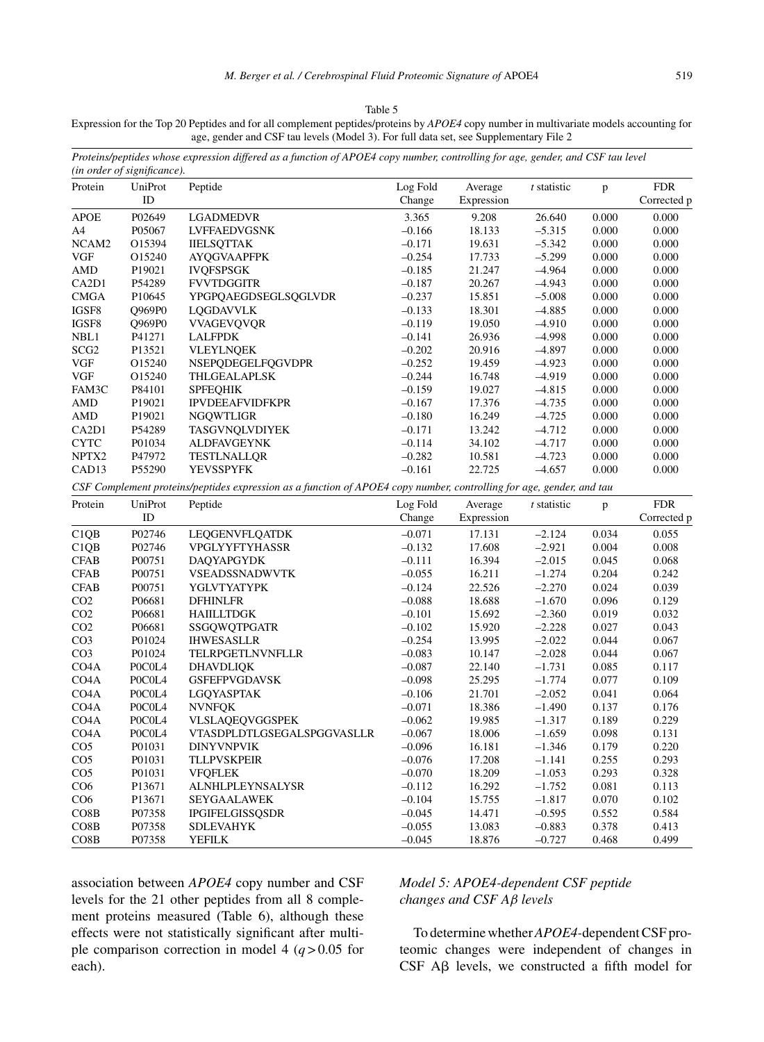|--|--|

Expression for the Top 20 Peptides and for all complement peptides/proteins by *APOE4* copy number in multivariate models accounting for age, gender and CSF tau levels (Model 3). For full data set, see Supplementary File 2

|                   | (in order of significance). | Proteins/peptides whose expression differed as a function of APOE4 copy number, controlling for age, gender, and CSF tau level |                    |                       |               |       |                           |
|-------------------|-----------------------------|--------------------------------------------------------------------------------------------------------------------------------|--------------------|-----------------------|---------------|-------|---------------------------|
| Protein           | UniProt<br>ID               | Peptide                                                                                                                        | Log Fold<br>Change | Average<br>Expression | t statistic   | p     | <b>FDR</b><br>Corrected p |
| <b>APOE</b>       | P02649                      | <b>LGADMEDVR</b>                                                                                                               | 3.365              | 9.208                 | 26.640        | 0.000 | 0.000                     |
| A4                | P05067                      | <b>LVFFAEDVGSNK</b>                                                                                                            | $-0.166$           | 18.133                | $-5.315$      | 0.000 | 0.000                     |
| NCAM2             | O15394                      | <b>IIELSQTTAK</b>                                                                                                              | $-0.171$           | 19.631                | $-5.342$      | 0.000 | 0.000                     |
| <b>VGF</b>        | O15240                      | <b>AYOGVAAPFPK</b>                                                                                                             | $-0.254$           | 17.733                | $-5.299$      | 0.000 | 0.000                     |
| <b>AMD</b>        | P19021                      | <b>IVQFSPSGK</b>                                                                                                               | $-0.185$           | 21.247                | $-4.964$      | 0.000 | 0.000                     |
| CA2D1             | P54289                      | <b>FVVTDGGITR</b>                                                                                                              | $-0.187$           | 20.267                | $-4.943$      | 0.000 | 0.000                     |
| <b>CMGA</b>       | P10645                      | YPGPQAEGDSEGLSQGLVDR                                                                                                           | $-0.237$           | 15.851                | $-5.008$      | 0.000 | 0.000                     |
| IGSF8             | O969P0                      | <b>LOGDAVVLK</b>                                                                                                               | $-0.133$           | 18.301                | $-4.885$      | 0.000 | 0.000                     |
| IGSF8             | Q969P0                      | <b>VVAGEVQVQR</b>                                                                                                              | $-0.119$           | 19.050                | $-4.910$      | 0.000 | 0.000                     |
| NBL1              | P41271                      | <b>LALFPDK</b>                                                                                                                 | $-0.141$           | 26.936                | $-4.998$      | 0.000 | 0.000                     |
| SCG <sub>2</sub>  | P13521                      | <b>VLEYLNOEK</b>                                                                                                               | $-0.202$           | 20.916                | $-4.897$      | 0.000 | 0.000                     |
|                   |                             |                                                                                                                                |                    |                       | $-4.923$      |       |                           |
| <b>VGF</b>        | O15240                      | <b>NSEPODEGELFOGVDPR</b>                                                                                                       | $-0.252$           | 19.459                |               | 0.000 | 0.000                     |
| <b>VGF</b>        | O15240                      | THLGEALAPLSK                                                                                                                   | $-0.244$           | 16.748                | $-4.919$      | 0.000 | 0.000                     |
| FAM3C             | P84101                      | <b>SPFEOHIK</b>                                                                                                                | $-0.159$           | 19.027                | $-4.815$      | 0.000 | 0.000                     |
| <b>AMD</b>        | P19021                      | <b>IPVDEEAFVIDFKPR</b>                                                                                                         | $-0.167$           | 17.376                | $-4.735$      | 0.000 | 0.000                     |
| <b>AMD</b>        | P19021                      | <b>NGQWTLIGR</b>                                                                                                               | $-0.180$           | 16.249                | $-4.725$      | 0.000 | 0.000                     |
| CA2D1             | P54289                      | <b>TASGVNQLVDIYEK</b>                                                                                                          | $-0.171$           | 13.242                | $-4.712$      | 0.000 | 0.000                     |
| <b>CYTC</b>       | P01034                      | <b>ALDFAVGEYNK</b>                                                                                                             | $-0.114$           | 34.102                | $-4.717$      | 0.000 | 0.000                     |
| NPTX2             | P47972                      | <b>TESTLNALLOR</b>                                                                                                             | $-0.282$           | 10.581                | $-4.723$      | 0.000 | 0.000                     |
| CAD <sub>13</sub> | P55290                      | <b>YEVSSPYFK</b>                                                                                                               | $-0.161$           | 22.725                | $-4.657$      | 0.000 | 0.000                     |
|                   |                             | CSF Complement proteins/peptides expression as a function of APOE4 copy number, controlling for age, gender, and tau           |                    |                       |               |       |                           |
| Protein           | UniProt                     | Peptide                                                                                                                        | Log Fold           | Average               | $t$ statistic | p     | <b>FDR</b>                |
|                   | ID                          |                                                                                                                                | Change             | Expression            |               |       | Corrected p               |
| C1QB              | P02746                      | <b>LEQGENVFLQATDK</b>                                                                                                          | $-0.071$           | 17.131                | $-2.124$      | 0.034 | 0.055                     |
| C1QB              | P02746                      | VPGLYYFTYHASSR                                                                                                                 | $-0.132$           | 17.608                | $-2.921$      | 0.004 | 0.008                     |
| <b>CFAB</b>       | P00751                      | <b>DAOYAPGYDK</b>                                                                                                              | $-0.111$           | 16.394                | $-2.015$      | 0.045 | 0.068                     |
| <b>CFAB</b>       | P00751                      | VSEADSSNADWVTK                                                                                                                 | $-0.055$           | 16.211                | $-1.274$      | 0.204 | 0.242                     |
| <b>CFAB</b>       | P00751                      | YGLVTYATYPK                                                                                                                    | $-0.124$           | 22.526                | $-2.270$      | 0.024 | 0.039                     |
| CO <sub>2</sub>   | P06681                      | <b>DFHINLFR</b>                                                                                                                | $-0.088$           | 18.688                | $-1.670$      | 0.096 | 0.129                     |
| CO <sub>2</sub>   | P06681                      | <b>HAIILLTDGK</b>                                                                                                              | $-0.101$           | 15.692                | $-2.360$      | 0.019 | 0.032                     |
| CO <sub>2</sub>   | P06681                      | <b>SSGQWQTPGATR</b>                                                                                                            | $-0.102$           | 15.920                | $-2.228$      | 0.027 | 0.043                     |
| CO <sub>3</sub>   | P01024                      | <b>IHWESASLLR</b>                                                                                                              | $-0.254$           | 13.995                | $-2.022$      | 0.044 | 0.067                     |
| CO <sub>3</sub>   | P01024                      | TELRPGETLNVNFLLR                                                                                                               | $-0.083$           | 10.147                | $-2.028$      | 0.044 | 0.067                     |
| CO <sub>4</sub> A | P0C0L4                      | <b>DHAVDLIQK</b>                                                                                                               | $-0.087$           | 22.140                | $-1.731$      | 0.085 | 0.117                     |
| CO <sub>4</sub> A | POCOL4                      |                                                                                                                                | $-0.098$           | 25.295                | $-1.774$      | 0.077 | 0.109                     |
|                   |                             | <b>GSFEFPVGDAVSK</b>                                                                                                           |                    |                       |               |       |                           |
| CO <sub>4</sub> A | POCOL4                      | LGQYASPTAK                                                                                                                     | $-0.106$           | 21.701                | $-2.052$      | 0.041 | 0.064                     |
| CO <sub>4</sub> A | POCOL4                      | <b>NVNFOK</b>                                                                                                                  | $-0.071$           | 18.386                | $-1.490$      | 0.137 | 0.176                     |
| CO <sub>4</sub> A | POCOL4                      | VLSLAQEQVGGSPEK                                                                                                                | $-0.062$           | 19.985                | $-1.317$      | 0.189 | 0.229                     |
| CO <sub>4</sub> A | POCOL4                      | VTASDPLDTLGSEGALSPGGVASLLR                                                                                                     | $-0.067$           | 18.006                | $-1.659$      | 0.098 | 0.131                     |
| CO <sub>5</sub>   | P01031                      | <b>DINYVNPVIK</b>                                                                                                              | $-0.096$           | 16.181                | $-1.346$      | 0.179 | 0.220                     |
| CO <sub>5</sub>   | P01031                      | <b>TLLPVSKPEIR</b>                                                                                                             | $-0.076$           | 17.208                | $-1.141$      | 0.255 | 0.293                     |
| CO <sub>5</sub>   | P01031                      | <b>VFQFLEK</b>                                                                                                                 | $-0.070$           | 18.209                | $-1.053$      | 0.293 | 0.328                     |
| CO <sub>6</sub>   | P13671                      | ALNHLPLEYNSALYSR                                                                                                               | $-0.112$           | 16.292                | $-1.752$      | 0.081 | 0.113                     |
| CO <sub>6</sub>   | P13671                      | <b>SEYGAALAWEK</b>                                                                                                             | $-0.104$           | 15.755                | $-1.817$      | 0.070 | 0.102                     |
| CO8B              | P07358                      | IPGIFELGISSQSDR                                                                                                                | $-0.045$           | 14.471                | $-0.595$      | 0.552 | 0.584                     |
| CO8B              | P07358                      | <b>SDLEVAHYK</b>                                                                                                               | $-0.055$           | 13.083                | $-0.883$      | 0.378 | 0.413                     |
| CO8B              | P07358                      | YEFILK                                                                                                                         | $-0.045$           | 18.876                | $-0.727$      | 0.468 | 0.499                     |

association between *APOE4* copy number and CSF levels for the 21 other peptides from all 8 complement proteins measured (Table 6), although these effects were not statistically significant after multiple comparison correction in model 4  $(q > 0.05$  for each).

# *Model 5: APOE4-dependent CSF peptide changes and CSF A*β *levels*

To determine whether*APOE4-*dependent CSF proteomic changes were independent of changes in  $CSF$  A $\beta$  levels, we constructed a fifth model for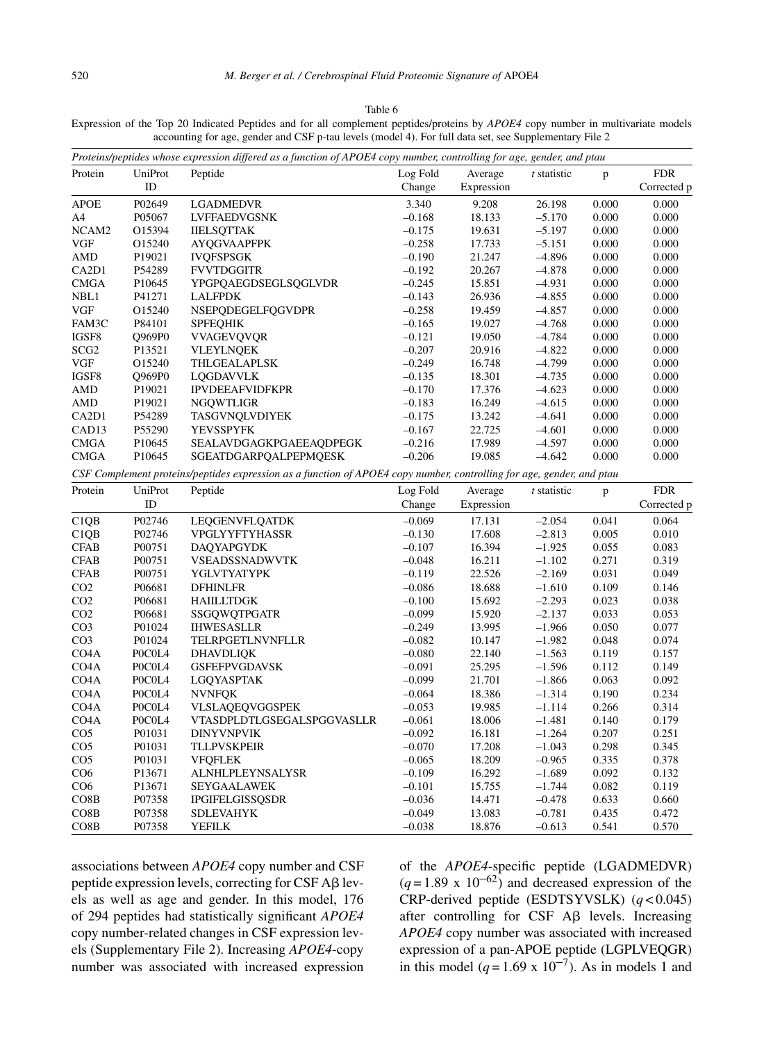|                                |               | Proteins/peptides whose expression differed as a function of APOE4 copy number, controlling for age, gender, and ptau                          |                    |                       |               |       |                           |
|--------------------------------|---------------|------------------------------------------------------------------------------------------------------------------------------------------------|--------------------|-----------------------|---------------|-------|---------------------------|
| Protein                        | UniProt<br>ID | Peptide                                                                                                                                        | Log Fold<br>Change | Average<br>Expression | $t$ statistic | p     | <b>FDR</b><br>Corrected p |
| <b>APOE</b>                    | P02649        | <b>LGADMEDVR</b>                                                                                                                               | 3.340              | 9.208                 | 26.198        | 0.000 | 0.000                     |
| A4                             | P05067        | <b>LVFFAEDVGSNK</b>                                                                                                                            | $-0.168$           | 18.133                | $-5.170$      | 0.000 | 0.000                     |
| NCAM2                          | O15394        | <b>IIELSQTTAK</b>                                                                                                                              | $-0.175$           | 19.631                | $-5.197$      | 0.000 | 0.000                     |
| <b>VGF</b>                     | O15240        | <b>AYOGVAAPFPK</b>                                                                                                                             | $-0.258$           | 17.733                | $-5.151$      | 0.000 | 0.000                     |
| <b>AMD</b>                     | P19021        | <b>IVOFSPSGK</b>                                                                                                                               | $-0.190$           | 21.247                | $-4.896$      | 0.000 | 0.000                     |
| CA <sub>2</sub> D <sub>1</sub> | P54289        | <b>FVVTDGGITR</b>                                                                                                                              | $-0.192$           | 20.267                | $-4.878$      | 0.000 | 0.000                     |
| <b>CMGA</b>                    | P10645        | YPGPQAEGDSEGLSQGLVDR                                                                                                                           | $-0.245$           | 15.851                | $-4.931$      | 0.000 | 0.000                     |
| NBL1                           | P41271        | <b>LALFPDK</b>                                                                                                                                 | $-0.143$           | 26.936                | $-4.855$      | 0.000 | 0.000                     |
| <b>VGF</b>                     | O15240        | NSEPQDEGELFQGVDPR                                                                                                                              | $-0.258$           | 19.459                | $-4.857$      | 0.000 | 0.000                     |
| FAM3C                          | P84101        | <b>SPFEQHIK</b>                                                                                                                                | $-0.165$           | 19.027                | $-4.768$      | 0.000 | 0.000                     |
| IGSF8                          | Q969P0        | <b>VVAGEVQVQR</b>                                                                                                                              | $-0.121$           | 19.050                | $-4.784$      | 0.000 | 0.000                     |
| SCG <sub>2</sub>               | P13521        | <b>VLEYLNQEK</b>                                                                                                                               | $-0.207$           | 20.916                | $-4.822$      | 0.000 | 0.000                     |
| <b>VGF</b>                     | O15240        | THLGEALAPLSK                                                                                                                                   | $-0.249$           | 16.748                | $-4.799$      | 0.000 | 0.000                     |
| IGSF8                          | O969P0        | <b>LOGDAVVLK</b>                                                                                                                               | $-0.135$           | 18.301                | $-4.735$      | 0.000 | 0.000                     |
|                                | P19021        |                                                                                                                                                |                    | 17.376                | $-4.623$      | 0.000 |                           |
| <b>AMD</b>                     |               | <b>IPVDEEAFVIDFKPR</b>                                                                                                                         | $-0.170$           |                       | $-4.615$      |       | 0.000                     |
| <b>AMD</b>                     | P19021        | <b>NGOWTLIGR</b>                                                                                                                               | $-0.183$           | 16.249                | $-4.641$      | 0.000 | 0.000                     |
| CA <sub>2</sub> D <sub>1</sub> | P54289        | <b>TASGVNOLVDIYEK</b>                                                                                                                          | $-0.175$           | 13.242                |               | 0.000 | 0.000                     |
| CAD13                          | P55290        | <b>YEVSSPYFK</b>                                                                                                                               | $-0.167$           | 22.725                | $-4.601$      | 0.000 | 0.000                     |
| <b>CMGA</b>                    | P10645        | SEALAVDGAGKPGAEEAQDPEGK                                                                                                                        | $-0.216$           | 17.989                | $-4.597$      | 0.000 | 0.000                     |
| <b>CMGA</b>                    | P10645        | SGEATDGARPQALPEPMQESK<br>CSF Complement proteins/peptides expression as a function of APOE4 copy number, controlling for age, gender, and ptau | $-0.206$           | 19.085                | $-4.642$      | 0.000 | 0.000                     |
|                                |               |                                                                                                                                                |                    |                       |               |       |                           |
| Protein                        | UniProt       | Peptide                                                                                                                                        | Log Fold           | Average               | t statistic   | p     | <b>FDR</b>                |
|                                | ID            |                                                                                                                                                | Change             | Expression            |               |       | Corrected p               |
| C1QB                           | P02746        | LEQGENVFLQATDK                                                                                                                                 | $-0.069$           | 17.131                | $-2.054$      | 0.041 | 0.064                     |
| C1QB                           | P02746        | <b>VPGLYYFTYHASSR</b>                                                                                                                          | $-0.130$           | 17.608                | $-2.813$      | 0.005 | 0.010                     |
| <b>CFAB</b>                    | P00751        | <b>DAQYAPGYDK</b>                                                                                                                              | $-0.107$           | 16.394                | $-1.925$      | 0.055 | 0.083                     |
| <b>CFAB</b>                    | P00751        | <b>VSEADSSNADWVTK</b>                                                                                                                          | $-0.048$           | 16.211                | $-1.102$      | 0.271 | 0.319                     |
| <b>CFAB</b>                    | P00751        | YGLVTYATYPK                                                                                                                                    | $-0.119$           | 22.526                | $-2.169$      | 0.031 | 0.049                     |
| CO <sub>2</sub>                | P06681        | <b>DFHINLFR</b>                                                                                                                                | $-0.086$           | 18.688                | $-1.610$      | 0.109 | 0.146                     |
| CO <sub>2</sub>                | P06681        | <b>HAIILLTDGK</b>                                                                                                                              | $-0.100$           | 15.692                | $-2.293$      | 0.023 | 0.038                     |
| CO <sub>2</sub>                | P06681        | <b>SSGQWQTPGATR</b>                                                                                                                            | $-0.099$           | 15.920                | $-2.137$      | 0.033 | 0.053                     |
| CO <sub>3</sub>                | P01024        | <b>IHWESASLLR</b>                                                                                                                              | $-0.249$           | 13.995                | $-1.966$      | 0.050 | 0.077                     |
| CO <sub>3</sub>                | P01024        | TELRPGETLNVNFLLR                                                                                                                               | $-0.082$           | 10.147                | $-1.982$      | 0.048 | 0.074                     |
| CO <sub>4</sub> A              | POCOL4        | <b>DHAVDLIOK</b>                                                                                                                               | $-0.080$           | 22.140                | $-1.563$      | 0.119 | 0.157                     |
| CO <sub>4</sub> A              | POCOL4        | <b>GSFEFPVGDAVSK</b>                                                                                                                           | $-0.091$           | 25.295                | $-1.596$      | 0.112 | 0.149                     |
| CO <sub>4</sub> A              | POCOL4        | LGOYASPTAK                                                                                                                                     | $-0.099$           | 21.701                | $-1.866$      | 0.063 | 0.092                     |
| CO <sub>4</sub> A              | POCOL4        | <b>NVNFQK</b>                                                                                                                                  | $-0.064$           | 18.386                | $-1.314$      | 0.190 | 0.234                     |
| CO <sub>4</sub> A              | POCOL4        | VLSLAQEQVGGSPEK                                                                                                                                | $-0.053$           | 19.985                | $-1.114$      | 0.266 | 0.314                     |
| CO4A                           | POCOL4        | VTASDPLDTLGSEGALSPGGVASLLR                                                                                                                     | $-0.061$           | 18.006                | $-1.481$      | 0.140 | 0.179                     |
| CO <sub>5</sub>                | P01031        | <b>DINYVNPVIK</b>                                                                                                                              | $-0.092$           | 16.181                | $-1.264$      | 0.207 | 0.251                     |
| CO <sub>5</sub>                | P01031        | <b>TLLPVSKPEIR</b>                                                                                                                             | $-0.070$           | 17.208                | $-1.043$      | 0.298 | 0.345                     |
| CO <sub>5</sub>                | P01031        | <b>VFQFLEK</b>                                                                                                                                 | $-0.065$           | 18.209                | $-0.965$      | 0.335 | 0.378                     |
| CO6                            | P13671        | <b>ALNHLPLEYNSALYSR</b>                                                                                                                        | $-0.109$           | 16.292                | $-1.689$      | 0.092 | 0.132                     |
| CO6                            | P13671        | <b>SEYGAALAWEK</b>                                                                                                                             | $-0.101$           | 15.755                | $-1.744$      | 0.082 | 0.119                     |
| CO8B                           | P07358        | <b>IPGIFELGISSQSDR</b>                                                                                                                         | $-0.036$           | 14.471                | $-0.478$      | 0.633 | 0.660                     |
| CO8B                           | P07358        | <b>SDLEVAHYK</b>                                                                                                                               | $-0.049$           | 13.083                | $-0.781$      | 0.435 | 0.472                     |
| CO8B                           | P07358        | <b>YEFILK</b>                                                                                                                                  | $-0.038$           | 18.876                | $-0.613$      | 0.541 | 0.570                     |

Table 6 Expression of the Top 20 Indicated Peptides and for all complement peptides/proteins by *APOE4* copy number in multivariate models accounting for age, gender and CSF p-tau levels (model 4). For full data set, see Supplementary File 2

associations between *APOE4* copy number and CSF peptide expression levels, correcting for  $CSF$  A $\beta$  levels as well as age and gender. In this model, 176 of 294 peptides had statistically significant *APOE4* copy number-related changes in CSF expression levels (Supplementary File 2). Increasing *APOE4*-copy number was associated with increased expression of the *APOE4*-specific peptide (LGADMEDVR)  $(q=1.89 \times 10^{-62})$  and decreased expression of the CRP-derived peptide (ESDTSYVSLK) (*q* < 0.045) after controlling for  $CSF$  A $\beta$  levels. Increasing *APOE4* copy number was associated with increased expression of a pan-APOE peptide (LGPLVEQGR) in this model  $(q=1.69 \times 10^{-7})$ . As in models 1 and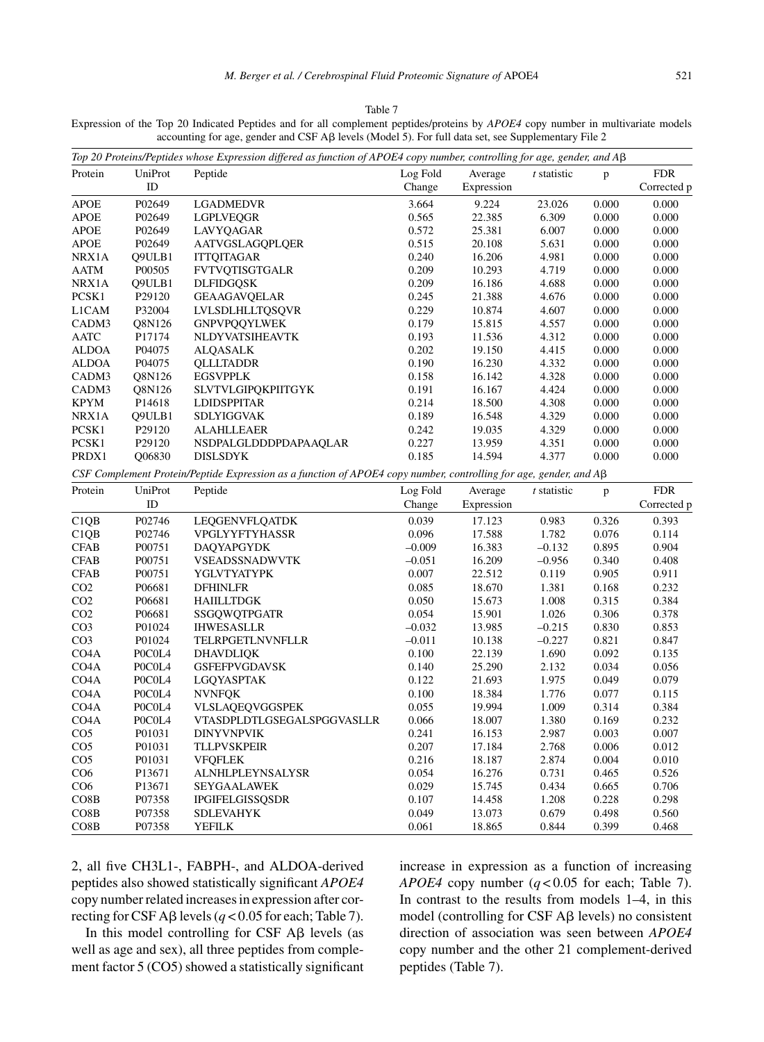| Top 20 Proteins/Peptides whose Expression differed as function of APOE4 copy number, controlling for age, gender, and AB<br><b>FDR</b><br>Protein<br>UniProt<br>Peptide<br>Log Fold<br>Average<br>t statistic<br>p<br>ID<br>Expression<br>Change<br>3.664<br>9.224<br>0.000<br>P02649<br>23.026<br>APOE<br>LGADMEDVR<br>0.565<br>6.309<br>0.000<br>APOE<br>P02649<br><b>LGPLVEQGR</b><br>22.385<br><b>APOE</b><br>0.572<br>0.000<br>P02649<br>LAVYQAGAR<br>25.381<br>6.007<br><b>APOE</b><br>P02649<br>AATVGSLAGQPLQER<br>0.515<br>20.108<br>5.631<br>0.000<br>NRX1A<br>Q9ULB1<br>0.240<br>16.206<br>4.981<br>0.000<br><b>ITTQITAGAR</b><br>0.209<br>AATM<br>P00505<br>10.293<br>4.719<br>0.000<br><b>FVTVQTISGTGALR</b><br>0.209<br>NRX1A<br>O9ULB1<br><b>DLFIDGQSK</b><br>16.186<br>4.688<br>0.000<br>PCSK1<br>P29120<br>0.245<br>21.388<br>4.676<br>0.000<br><b>GEAAGAVQELAR</b><br>0.229<br>0.000<br>L1CAM<br>P32004<br>10.874<br>4.607<br>LVLSDLHLLTQSQVR<br>CADM3<br>0.179<br>15.815<br>4.557<br>0.000<br>Q8N126<br><b>GNPVPQQYLWEK</b><br>P17174<br>0.193<br>0.000<br>AATC<br>NLDYVATSIHEAVTK<br>11.536<br>4.312<br>0.202<br>ALDOA<br>P04075<br><b>ALQASALK</b><br>19.150<br>4.415<br>0.000<br><b>ALDOA</b><br>P04075<br>0.190<br>16.230<br>4.332<br>0.000<br><b>QLLLTADDR</b><br>0.158<br>4.328<br>0.000<br>CADM3<br>Q8N126<br><b>EGSVPPLK</b><br>16.142<br>CADM3<br>0.191<br>0.000<br><b>O8N126</b><br><b>SLVTVLGIPQKPIITGYK</b><br>16.167<br>4.424<br><b>KPYM</b><br>P14618<br>0.214<br>18.500<br>4.308<br>0.000<br><b>LDIDSPPITAR</b><br>0.189<br>0.000<br>NRX1A<br>Q9ULB1<br>SDLYIGGVAK<br>16.548<br>4.329<br>PCSK1<br>P <sub>29120</sub><br><b>ALAHLLEAER</b><br>0.242<br>19.035<br>4.329<br>0.000<br>0.000<br>PCSK1<br>P29120<br>0.227<br>0.000<br>13.959<br>4.351<br>NSDPALGLDDDPDAPAAQLAR<br>0.185<br>PRDX1<br>Q06830<br><b>DISLSDYK</b><br>14.594<br>4.377<br>0.000<br>$CSF$ Complement Protein/Peptide Expression as a function of APOE4 copy number, controlling for age, gender, and A $\beta$<br>UniProt<br>Log Fold<br>Peptide<br>Protein<br>Average<br>t statistic<br>p<br>ID<br>Change<br>Expression<br>0.039<br>C1QB<br>P02746<br>LEQGENVFLQATDK<br>17.123<br>0.983<br>0.326<br>0.096<br>1.782<br>0.076<br>C1QB<br>P02746<br>VPGLYYFTYHASSR<br>17.588<br><b>CFAB</b><br>P00751<br>$-0.009$<br>16.383<br>$-0.132$<br>0.895<br><b>DAQYAPGYDK</b><br>CFAB<br>P00751<br>VSEADSSNADWVTK<br>$-0.051$<br>16.209<br>$-0.956$<br>0.340<br><b>CFAB</b><br>0.007<br>22.512<br>0.119<br>0.905<br>P00751<br>YGLVTYATYPK<br>CO <sub>2</sub><br>0.085<br>18.670<br>P06681<br><b>DFHINLFR</b><br>1.381<br>0.168<br>CO <sub>2</sub><br>0.050<br>1.008<br>0.315<br>P06681<br><b>HAIILLTDGK</b><br>15.673<br>CO <sub>2</sub><br>0.054<br>P06681<br>15.901<br>1.026<br>0.306<br><b>SSGQWQTPGATR</b><br>CO <sub>3</sub><br>$-0.032$<br>13.985<br>0.830<br>P01024<br><b>IHWESASLLR</b><br>$-0.215$<br>CO <sub>3</sub><br>0.821<br>P01024<br>$-0.011$<br>10.138<br>$-0.227$<br>TELRPGETLNVNFLLR<br>CO <sub>4</sub> A<br>POCOL4<br>0.100<br>22.139<br>1.690<br>0.092<br><b>DHAVDLIQK</b><br>CO <sub>4</sub> A<br>POCOL4<br><b>GSFEFPVGDAVSK</b><br>0.140<br>25.290<br>2.132<br>0.034<br>CO <sub>4</sub> A<br>0.122<br>0.049<br>POCOL4<br>LGOYASPTAK<br>21.693<br>1.975<br>CO <sub>4</sub> A<br>POCOL4<br>0.100<br>18.384<br>1.776<br>0.077<br><b>NVNFQK</b><br>CO <sub>4</sub> A<br>0.055<br>0.314<br>POCOL4<br>VLSLAQEQVGGSPEK<br>19.994<br>1.009<br>CO4A<br>POCOL4<br>VTASDPLDTLGSEGALSPGGVASLLR<br>0.066<br>18.007<br>1.380<br>0.169<br><b>DINYVNPVIK</b><br>0.241<br>2.987<br>0.003<br>CO <sub>5</sub><br>P01031<br>16.153 |                 |        |                    |       |        |       |       |             |
|---------------------------------------------------------------------------------------------------------------------------------------------------------------------------------------------------------------------------------------------------------------------------------------------------------------------------------------------------------------------------------------------------------------------------------------------------------------------------------------------------------------------------------------------------------------------------------------------------------------------------------------------------------------------------------------------------------------------------------------------------------------------------------------------------------------------------------------------------------------------------------------------------------------------------------------------------------------------------------------------------------------------------------------------------------------------------------------------------------------------------------------------------------------------------------------------------------------------------------------------------------------------------------------------------------------------------------------------------------------------------------------------------------------------------------------------------------------------------------------------------------------------------------------------------------------------------------------------------------------------------------------------------------------------------------------------------------------------------------------------------------------------------------------------------------------------------------------------------------------------------------------------------------------------------------------------------------------------------------------------------------------------------------------------------------------------------------------------------------------------------------------------------------------------------------------------------------------------------------------------------------------------------------------------------------------------------------------------------------------------------------------------------------------------------------------------------------------------------------------------------------------------------------------------------------------------------------------------------------------------------------------------------------------------------------------------------------------------------------------------------------------------------------------------------------------------------------------------------------------------------------------------------------------------------------------------------------------------------------------------------------------------------------------------------------------------------------------------------------------------------------------------------------------------------------------------------------------------------------------------------------------------------------------------------------------------------------------------------------------------------------------------------------------------------------------------------------------------------------------------------------------------------------------------------------------------------------------------------------------------------------|-----------------|--------|--------------------|-------|--------|-------|-------|-------------|
|                                                                                                                                                                                                                                                                                                                                                                                                                                                                                                                                                                                                                                                                                                                                                                                                                                                                                                                                                                                                                                                                                                                                                                                                                                                                                                                                                                                                                                                                                                                                                                                                                                                                                                                                                                                                                                                                                                                                                                                                                                                                                                                                                                                                                                                                                                                                                                                                                                                                                                                                                                                                                                                                                                                                                                                                                                                                                                                                                                                                                                                                                                                                                                                                                                                                                                                                                                                                                                                                                                                                                                                                                                 |                 |        |                    |       |        |       |       |             |
|                                                                                                                                                                                                                                                                                                                                                                                                                                                                                                                                                                                                                                                                                                                                                                                                                                                                                                                                                                                                                                                                                                                                                                                                                                                                                                                                                                                                                                                                                                                                                                                                                                                                                                                                                                                                                                                                                                                                                                                                                                                                                                                                                                                                                                                                                                                                                                                                                                                                                                                                                                                                                                                                                                                                                                                                                                                                                                                                                                                                                                                                                                                                                                                                                                                                                                                                                                                                                                                                                                                                                                                                                                 |                 |        |                    |       |        |       |       | Corrected p |
|                                                                                                                                                                                                                                                                                                                                                                                                                                                                                                                                                                                                                                                                                                                                                                                                                                                                                                                                                                                                                                                                                                                                                                                                                                                                                                                                                                                                                                                                                                                                                                                                                                                                                                                                                                                                                                                                                                                                                                                                                                                                                                                                                                                                                                                                                                                                                                                                                                                                                                                                                                                                                                                                                                                                                                                                                                                                                                                                                                                                                                                                                                                                                                                                                                                                                                                                                                                                                                                                                                                                                                                                                                 |                 |        |                    |       |        |       |       | 0.000       |
|                                                                                                                                                                                                                                                                                                                                                                                                                                                                                                                                                                                                                                                                                                                                                                                                                                                                                                                                                                                                                                                                                                                                                                                                                                                                                                                                                                                                                                                                                                                                                                                                                                                                                                                                                                                                                                                                                                                                                                                                                                                                                                                                                                                                                                                                                                                                                                                                                                                                                                                                                                                                                                                                                                                                                                                                                                                                                                                                                                                                                                                                                                                                                                                                                                                                                                                                                                                                                                                                                                                                                                                                                                 |                 |        |                    |       |        |       |       | 0.000       |
|                                                                                                                                                                                                                                                                                                                                                                                                                                                                                                                                                                                                                                                                                                                                                                                                                                                                                                                                                                                                                                                                                                                                                                                                                                                                                                                                                                                                                                                                                                                                                                                                                                                                                                                                                                                                                                                                                                                                                                                                                                                                                                                                                                                                                                                                                                                                                                                                                                                                                                                                                                                                                                                                                                                                                                                                                                                                                                                                                                                                                                                                                                                                                                                                                                                                                                                                                                                                                                                                                                                                                                                                                                 |                 |        |                    |       |        |       |       | 0.000       |
|                                                                                                                                                                                                                                                                                                                                                                                                                                                                                                                                                                                                                                                                                                                                                                                                                                                                                                                                                                                                                                                                                                                                                                                                                                                                                                                                                                                                                                                                                                                                                                                                                                                                                                                                                                                                                                                                                                                                                                                                                                                                                                                                                                                                                                                                                                                                                                                                                                                                                                                                                                                                                                                                                                                                                                                                                                                                                                                                                                                                                                                                                                                                                                                                                                                                                                                                                                                                                                                                                                                                                                                                                                 |                 |        |                    |       |        |       |       | 0.000       |
|                                                                                                                                                                                                                                                                                                                                                                                                                                                                                                                                                                                                                                                                                                                                                                                                                                                                                                                                                                                                                                                                                                                                                                                                                                                                                                                                                                                                                                                                                                                                                                                                                                                                                                                                                                                                                                                                                                                                                                                                                                                                                                                                                                                                                                                                                                                                                                                                                                                                                                                                                                                                                                                                                                                                                                                                                                                                                                                                                                                                                                                                                                                                                                                                                                                                                                                                                                                                                                                                                                                                                                                                                                 |                 |        |                    |       |        |       |       | 0.000       |
|                                                                                                                                                                                                                                                                                                                                                                                                                                                                                                                                                                                                                                                                                                                                                                                                                                                                                                                                                                                                                                                                                                                                                                                                                                                                                                                                                                                                                                                                                                                                                                                                                                                                                                                                                                                                                                                                                                                                                                                                                                                                                                                                                                                                                                                                                                                                                                                                                                                                                                                                                                                                                                                                                                                                                                                                                                                                                                                                                                                                                                                                                                                                                                                                                                                                                                                                                                                                                                                                                                                                                                                                                                 |                 |        |                    |       |        |       |       | 0.000       |
|                                                                                                                                                                                                                                                                                                                                                                                                                                                                                                                                                                                                                                                                                                                                                                                                                                                                                                                                                                                                                                                                                                                                                                                                                                                                                                                                                                                                                                                                                                                                                                                                                                                                                                                                                                                                                                                                                                                                                                                                                                                                                                                                                                                                                                                                                                                                                                                                                                                                                                                                                                                                                                                                                                                                                                                                                                                                                                                                                                                                                                                                                                                                                                                                                                                                                                                                                                                                                                                                                                                                                                                                                                 |                 |        |                    |       |        |       |       | 0.000       |
|                                                                                                                                                                                                                                                                                                                                                                                                                                                                                                                                                                                                                                                                                                                                                                                                                                                                                                                                                                                                                                                                                                                                                                                                                                                                                                                                                                                                                                                                                                                                                                                                                                                                                                                                                                                                                                                                                                                                                                                                                                                                                                                                                                                                                                                                                                                                                                                                                                                                                                                                                                                                                                                                                                                                                                                                                                                                                                                                                                                                                                                                                                                                                                                                                                                                                                                                                                                                                                                                                                                                                                                                                                 |                 |        |                    |       |        |       |       | 0.000       |
|                                                                                                                                                                                                                                                                                                                                                                                                                                                                                                                                                                                                                                                                                                                                                                                                                                                                                                                                                                                                                                                                                                                                                                                                                                                                                                                                                                                                                                                                                                                                                                                                                                                                                                                                                                                                                                                                                                                                                                                                                                                                                                                                                                                                                                                                                                                                                                                                                                                                                                                                                                                                                                                                                                                                                                                                                                                                                                                                                                                                                                                                                                                                                                                                                                                                                                                                                                                                                                                                                                                                                                                                                                 |                 |        |                    |       |        |       |       | 0.000       |
|                                                                                                                                                                                                                                                                                                                                                                                                                                                                                                                                                                                                                                                                                                                                                                                                                                                                                                                                                                                                                                                                                                                                                                                                                                                                                                                                                                                                                                                                                                                                                                                                                                                                                                                                                                                                                                                                                                                                                                                                                                                                                                                                                                                                                                                                                                                                                                                                                                                                                                                                                                                                                                                                                                                                                                                                                                                                                                                                                                                                                                                                                                                                                                                                                                                                                                                                                                                                                                                                                                                                                                                                                                 |                 |        |                    |       |        |       |       | 0.000       |
|                                                                                                                                                                                                                                                                                                                                                                                                                                                                                                                                                                                                                                                                                                                                                                                                                                                                                                                                                                                                                                                                                                                                                                                                                                                                                                                                                                                                                                                                                                                                                                                                                                                                                                                                                                                                                                                                                                                                                                                                                                                                                                                                                                                                                                                                                                                                                                                                                                                                                                                                                                                                                                                                                                                                                                                                                                                                                                                                                                                                                                                                                                                                                                                                                                                                                                                                                                                                                                                                                                                                                                                                                                 |                 |        |                    |       |        |       |       | 0.000       |
|                                                                                                                                                                                                                                                                                                                                                                                                                                                                                                                                                                                                                                                                                                                                                                                                                                                                                                                                                                                                                                                                                                                                                                                                                                                                                                                                                                                                                                                                                                                                                                                                                                                                                                                                                                                                                                                                                                                                                                                                                                                                                                                                                                                                                                                                                                                                                                                                                                                                                                                                                                                                                                                                                                                                                                                                                                                                                                                                                                                                                                                                                                                                                                                                                                                                                                                                                                                                                                                                                                                                                                                                                                 |                 |        |                    |       |        |       |       | 0.000       |
|                                                                                                                                                                                                                                                                                                                                                                                                                                                                                                                                                                                                                                                                                                                                                                                                                                                                                                                                                                                                                                                                                                                                                                                                                                                                                                                                                                                                                                                                                                                                                                                                                                                                                                                                                                                                                                                                                                                                                                                                                                                                                                                                                                                                                                                                                                                                                                                                                                                                                                                                                                                                                                                                                                                                                                                                                                                                                                                                                                                                                                                                                                                                                                                                                                                                                                                                                                                                                                                                                                                                                                                                                                 |                 |        |                    |       |        |       |       | 0.000       |
|                                                                                                                                                                                                                                                                                                                                                                                                                                                                                                                                                                                                                                                                                                                                                                                                                                                                                                                                                                                                                                                                                                                                                                                                                                                                                                                                                                                                                                                                                                                                                                                                                                                                                                                                                                                                                                                                                                                                                                                                                                                                                                                                                                                                                                                                                                                                                                                                                                                                                                                                                                                                                                                                                                                                                                                                                                                                                                                                                                                                                                                                                                                                                                                                                                                                                                                                                                                                                                                                                                                                                                                                                                 |                 |        |                    |       |        |       |       | 0.000       |
|                                                                                                                                                                                                                                                                                                                                                                                                                                                                                                                                                                                                                                                                                                                                                                                                                                                                                                                                                                                                                                                                                                                                                                                                                                                                                                                                                                                                                                                                                                                                                                                                                                                                                                                                                                                                                                                                                                                                                                                                                                                                                                                                                                                                                                                                                                                                                                                                                                                                                                                                                                                                                                                                                                                                                                                                                                                                                                                                                                                                                                                                                                                                                                                                                                                                                                                                                                                                                                                                                                                                                                                                                                 |                 |        |                    |       |        |       |       | 0.000       |
|                                                                                                                                                                                                                                                                                                                                                                                                                                                                                                                                                                                                                                                                                                                                                                                                                                                                                                                                                                                                                                                                                                                                                                                                                                                                                                                                                                                                                                                                                                                                                                                                                                                                                                                                                                                                                                                                                                                                                                                                                                                                                                                                                                                                                                                                                                                                                                                                                                                                                                                                                                                                                                                                                                                                                                                                                                                                                                                                                                                                                                                                                                                                                                                                                                                                                                                                                                                                                                                                                                                                                                                                                                 |                 |        |                    |       |        |       |       | 0.000       |
|                                                                                                                                                                                                                                                                                                                                                                                                                                                                                                                                                                                                                                                                                                                                                                                                                                                                                                                                                                                                                                                                                                                                                                                                                                                                                                                                                                                                                                                                                                                                                                                                                                                                                                                                                                                                                                                                                                                                                                                                                                                                                                                                                                                                                                                                                                                                                                                                                                                                                                                                                                                                                                                                                                                                                                                                                                                                                                                                                                                                                                                                                                                                                                                                                                                                                                                                                                                                                                                                                                                                                                                                                                 |                 |        |                    |       |        |       |       | 0.000       |
|                                                                                                                                                                                                                                                                                                                                                                                                                                                                                                                                                                                                                                                                                                                                                                                                                                                                                                                                                                                                                                                                                                                                                                                                                                                                                                                                                                                                                                                                                                                                                                                                                                                                                                                                                                                                                                                                                                                                                                                                                                                                                                                                                                                                                                                                                                                                                                                                                                                                                                                                                                                                                                                                                                                                                                                                                                                                                                                                                                                                                                                                                                                                                                                                                                                                                                                                                                                                                                                                                                                                                                                                                                 |                 |        |                    |       |        |       |       |             |
|                                                                                                                                                                                                                                                                                                                                                                                                                                                                                                                                                                                                                                                                                                                                                                                                                                                                                                                                                                                                                                                                                                                                                                                                                                                                                                                                                                                                                                                                                                                                                                                                                                                                                                                                                                                                                                                                                                                                                                                                                                                                                                                                                                                                                                                                                                                                                                                                                                                                                                                                                                                                                                                                                                                                                                                                                                                                                                                                                                                                                                                                                                                                                                                                                                                                                                                                                                                                                                                                                                                                                                                                                                 |                 |        |                    |       |        |       |       | 0.000       |
|                                                                                                                                                                                                                                                                                                                                                                                                                                                                                                                                                                                                                                                                                                                                                                                                                                                                                                                                                                                                                                                                                                                                                                                                                                                                                                                                                                                                                                                                                                                                                                                                                                                                                                                                                                                                                                                                                                                                                                                                                                                                                                                                                                                                                                                                                                                                                                                                                                                                                                                                                                                                                                                                                                                                                                                                                                                                                                                                                                                                                                                                                                                                                                                                                                                                                                                                                                                                                                                                                                                                                                                                                                 |                 |        |                    |       |        |       |       | 0.000       |
|                                                                                                                                                                                                                                                                                                                                                                                                                                                                                                                                                                                                                                                                                                                                                                                                                                                                                                                                                                                                                                                                                                                                                                                                                                                                                                                                                                                                                                                                                                                                                                                                                                                                                                                                                                                                                                                                                                                                                                                                                                                                                                                                                                                                                                                                                                                                                                                                                                                                                                                                                                                                                                                                                                                                                                                                                                                                                                                                                                                                                                                                                                                                                                                                                                                                                                                                                                                                                                                                                                                                                                                                                                 |                 |        |                    |       |        |       |       |             |
|                                                                                                                                                                                                                                                                                                                                                                                                                                                                                                                                                                                                                                                                                                                                                                                                                                                                                                                                                                                                                                                                                                                                                                                                                                                                                                                                                                                                                                                                                                                                                                                                                                                                                                                                                                                                                                                                                                                                                                                                                                                                                                                                                                                                                                                                                                                                                                                                                                                                                                                                                                                                                                                                                                                                                                                                                                                                                                                                                                                                                                                                                                                                                                                                                                                                                                                                                                                                                                                                                                                                                                                                                                 |                 |        |                    |       |        |       |       | <b>FDR</b>  |
|                                                                                                                                                                                                                                                                                                                                                                                                                                                                                                                                                                                                                                                                                                                                                                                                                                                                                                                                                                                                                                                                                                                                                                                                                                                                                                                                                                                                                                                                                                                                                                                                                                                                                                                                                                                                                                                                                                                                                                                                                                                                                                                                                                                                                                                                                                                                                                                                                                                                                                                                                                                                                                                                                                                                                                                                                                                                                                                                                                                                                                                                                                                                                                                                                                                                                                                                                                                                                                                                                                                                                                                                                                 |                 |        |                    |       |        |       |       | Corrected p |
|                                                                                                                                                                                                                                                                                                                                                                                                                                                                                                                                                                                                                                                                                                                                                                                                                                                                                                                                                                                                                                                                                                                                                                                                                                                                                                                                                                                                                                                                                                                                                                                                                                                                                                                                                                                                                                                                                                                                                                                                                                                                                                                                                                                                                                                                                                                                                                                                                                                                                                                                                                                                                                                                                                                                                                                                                                                                                                                                                                                                                                                                                                                                                                                                                                                                                                                                                                                                                                                                                                                                                                                                                                 |                 |        |                    |       |        |       |       | 0.393       |
|                                                                                                                                                                                                                                                                                                                                                                                                                                                                                                                                                                                                                                                                                                                                                                                                                                                                                                                                                                                                                                                                                                                                                                                                                                                                                                                                                                                                                                                                                                                                                                                                                                                                                                                                                                                                                                                                                                                                                                                                                                                                                                                                                                                                                                                                                                                                                                                                                                                                                                                                                                                                                                                                                                                                                                                                                                                                                                                                                                                                                                                                                                                                                                                                                                                                                                                                                                                                                                                                                                                                                                                                                                 |                 |        |                    |       |        |       |       | 0.114       |
|                                                                                                                                                                                                                                                                                                                                                                                                                                                                                                                                                                                                                                                                                                                                                                                                                                                                                                                                                                                                                                                                                                                                                                                                                                                                                                                                                                                                                                                                                                                                                                                                                                                                                                                                                                                                                                                                                                                                                                                                                                                                                                                                                                                                                                                                                                                                                                                                                                                                                                                                                                                                                                                                                                                                                                                                                                                                                                                                                                                                                                                                                                                                                                                                                                                                                                                                                                                                                                                                                                                                                                                                                                 |                 |        |                    |       |        |       |       | 0.904       |
|                                                                                                                                                                                                                                                                                                                                                                                                                                                                                                                                                                                                                                                                                                                                                                                                                                                                                                                                                                                                                                                                                                                                                                                                                                                                                                                                                                                                                                                                                                                                                                                                                                                                                                                                                                                                                                                                                                                                                                                                                                                                                                                                                                                                                                                                                                                                                                                                                                                                                                                                                                                                                                                                                                                                                                                                                                                                                                                                                                                                                                                                                                                                                                                                                                                                                                                                                                                                                                                                                                                                                                                                                                 |                 |        |                    |       |        |       |       | 0.408       |
|                                                                                                                                                                                                                                                                                                                                                                                                                                                                                                                                                                                                                                                                                                                                                                                                                                                                                                                                                                                                                                                                                                                                                                                                                                                                                                                                                                                                                                                                                                                                                                                                                                                                                                                                                                                                                                                                                                                                                                                                                                                                                                                                                                                                                                                                                                                                                                                                                                                                                                                                                                                                                                                                                                                                                                                                                                                                                                                                                                                                                                                                                                                                                                                                                                                                                                                                                                                                                                                                                                                                                                                                                                 |                 |        |                    |       |        |       |       | 0.911       |
|                                                                                                                                                                                                                                                                                                                                                                                                                                                                                                                                                                                                                                                                                                                                                                                                                                                                                                                                                                                                                                                                                                                                                                                                                                                                                                                                                                                                                                                                                                                                                                                                                                                                                                                                                                                                                                                                                                                                                                                                                                                                                                                                                                                                                                                                                                                                                                                                                                                                                                                                                                                                                                                                                                                                                                                                                                                                                                                                                                                                                                                                                                                                                                                                                                                                                                                                                                                                                                                                                                                                                                                                                                 |                 |        |                    |       |        |       |       | 0.232       |
|                                                                                                                                                                                                                                                                                                                                                                                                                                                                                                                                                                                                                                                                                                                                                                                                                                                                                                                                                                                                                                                                                                                                                                                                                                                                                                                                                                                                                                                                                                                                                                                                                                                                                                                                                                                                                                                                                                                                                                                                                                                                                                                                                                                                                                                                                                                                                                                                                                                                                                                                                                                                                                                                                                                                                                                                                                                                                                                                                                                                                                                                                                                                                                                                                                                                                                                                                                                                                                                                                                                                                                                                                                 |                 |        |                    |       |        |       |       | 0.384       |
|                                                                                                                                                                                                                                                                                                                                                                                                                                                                                                                                                                                                                                                                                                                                                                                                                                                                                                                                                                                                                                                                                                                                                                                                                                                                                                                                                                                                                                                                                                                                                                                                                                                                                                                                                                                                                                                                                                                                                                                                                                                                                                                                                                                                                                                                                                                                                                                                                                                                                                                                                                                                                                                                                                                                                                                                                                                                                                                                                                                                                                                                                                                                                                                                                                                                                                                                                                                                                                                                                                                                                                                                                                 |                 |        |                    |       |        |       |       | 0.378       |
|                                                                                                                                                                                                                                                                                                                                                                                                                                                                                                                                                                                                                                                                                                                                                                                                                                                                                                                                                                                                                                                                                                                                                                                                                                                                                                                                                                                                                                                                                                                                                                                                                                                                                                                                                                                                                                                                                                                                                                                                                                                                                                                                                                                                                                                                                                                                                                                                                                                                                                                                                                                                                                                                                                                                                                                                                                                                                                                                                                                                                                                                                                                                                                                                                                                                                                                                                                                                                                                                                                                                                                                                                                 |                 |        |                    |       |        |       |       | 0.853       |
|                                                                                                                                                                                                                                                                                                                                                                                                                                                                                                                                                                                                                                                                                                                                                                                                                                                                                                                                                                                                                                                                                                                                                                                                                                                                                                                                                                                                                                                                                                                                                                                                                                                                                                                                                                                                                                                                                                                                                                                                                                                                                                                                                                                                                                                                                                                                                                                                                                                                                                                                                                                                                                                                                                                                                                                                                                                                                                                                                                                                                                                                                                                                                                                                                                                                                                                                                                                                                                                                                                                                                                                                                                 |                 |        |                    |       |        |       |       | 0.847       |
|                                                                                                                                                                                                                                                                                                                                                                                                                                                                                                                                                                                                                                                                                                                                                                                                                                                                                                                                                                                                                                                                                                                                                                                                                                                                                                                                                                                                                                                                                                                                                                                                                                                                                                                                                                                                                                                                                                                                                                                                                                                                                                                                                                                                                                                                                                                                                                                                                                                                                                                                                                                                                                                                                                                                                                                                                                                                                                                                                                                                                                                                                                                                                                                                                                                                                                                                                                                                                                                                                                                                                                                                                                 |                 |        |                    |       |        |       |       | 0.135       |
|                                                                                                                                                                                                                                                                                                                                                                                                                                                                                                                                                                                                                                                                                                                                                                                                                                                                                                                                                                                                                                                                                                                                                                                                                                                                                                                                                                                                                                                                                                                                                                                                                                                                                                                                                                                                                                                                                                                                                                                                                                                                                                                                                                                                                                                                                                                                                                                                                                                                                                                                                                                                                                                                                                                                                                                                                                                                                                                                                                                                                                                                                                                                                                                                                                                                                                                                                                                                                                                                                                                                                                                                                                 |                 |        |                    |       |        |       |       | 0.056       |
|                                                                                                                                                                                                                                                                                                                                                                                                                                                                                                                                                                                                                                                                                                                                                                                                                                                                                                                                                                                                                                                                                                                                                                                                                                                                                                                                                                                                                                                                                                                                                                                                                                                                                                                                                                                                                                                                                                                                                                                                                                                                                                                                                                                                                                                                                                                                                                                                                                                                                                                                                                                                                                                                                                                                                                                                                                                                                                                                                                                                                                                                                                                                                                                                                                                                                                                                                                                                                                                                                                                                                                                                                                 |                 |        |                    |       |        |       |       | 0.079       |
|                                                                                                                                                                                                                                                                                                                                                                                                                                                                                                                                                                                                                                                                                                                                                                                                                                                                                                                                                                                                                                                                                                                                                                                                                                                                                                                                                                                                                                                                                                                                                                                                                                                                                                                                                                                                                                                                                                                                                                                                                                                                                                                                                                                                                                                                                                                                                                                                                                                                                                                                                                                                                                                                                                                                                                                                                                                                                                                                                                                                                                                                                                                                                                                                                                                                                                                                                                                                                                                                                                                                                                                                                                 |                 |        |                    |       |        |       |       | 0.115       |
|                                                                                                                                                                                                                                                                                                                                                                                                                                                                                                                                                                                                                                                                                                                                                                                                                                                                                                                                                                                                                                                                                                                                                                                                                                                                                                                                                                                                                                                                                                                                                                                                                                                                                                                                                                                                                                                                                                                                                                                                                                                                                                                                                                                                                                                                                                                                                                                                                                                                                                                                                                                                                                                                                                                                                                                                                                                                                                                                                                                                                                                                                                                                                                                                                                                                                                                                                                                                                                                                                                                                                                                                                                 |                 |        |                    |       |        |       |       | 0.384       |
|                                                                                                                                                                                                                                                                                                                                                                                                                                                                                                                                                                                                                                                                                                                                                                                                                                                                                                                                                                                                                                                                                                                                                                                                                                                                                                                                                                                                                                                                                                                                                                                                                                                                                                                                                                                                                                                                                                                                                                                                                                                                                                                                                                                                                                                                                                                                                                                                                                                                                                                                                                                                                                                                                                                                                                                                                                                                                                                                                                                                                                                                                                                                                                                                                                                                                                                                                                                                                                                                                                                                                                                                                                 |                 |        |                    |       |        |       |       | 0.232       |
|                                                                                                                                                                                                                                                                                                                                                                                                                                                                                                                                                                                                                                                                                                                                                                                                                                                                                                                                                                                                                                                                                                                                                                                                                                                                                                                                                                                                                                                                                                                                                                                                                                                                                                                                                                                                                                                                                                                                                                                                                                                                                                                                                                                                                                                                                                                                                                                                                                                                                                                                                                                                                                                                                                                                                                                                                                                                                                                                                                                                                                                                                                                                                                                                                                                                                                                                                                                                                                                                                                                                                                                                                                 |                 |        |                    |       |        |       |       | 0.007       |
|                                                                                                                                                                                                                                                                                                                                                                                                                                                                                                                                                                                                                                                                                                                                                                                                                                                                                                                                                                                                                                                                                                                                                                                                                                                                                                                                                                                                                                                                                                                                                                                                                                                                                                                                                                                                                                                                                                                                                                                                                                                                                                                                                                                                                                                                                                                                                                                                                                                                                                                                                                                                                                                                                                                                                                                                                                                                                                                                                                                                                                                                                                                                                                                                                                                                                                                                                                                                                                                                                                                                                                                                                                 | CO <sub>5</sub> | P01031 | <b>TLLPVSKPEIR</b> | 0.207 | 17.184 | 2.768 | 0.006 | 0.012       |
| CO <sub>5</sub><br>0.216<br>2.874<br>0.004<br>P01031<br><b>VFQFLEK</b><br>18.187                                                                                                                                                                                                                                                                                                                                                                                                                                                                                                                                                                                                                                                                                                                                                                                                                                                                                                                                                                                                                                                                                                                                                                                                                                                                                                                                                                                                                                                                                                                                                                                                                                                                                                                                                                                                                                                                                                                                                                                                                                                                                                                                                                                                                                                                                                                                                                                                                                                                                                                                                                                                                                                                                                                                                                                                                                                                                                                                                                                                                                                                                                                                                                                                                                                                                                                                                                                                                                                                                                                                                |                 |        |                    |       |        |       |       | 0.010       |

CO6 P13671 ALNHLPLEYNSALYSR 0.054 16.276 0.731 0.465 0.526 CO6 P13671 SEYGAALAWEK 0.029 15.745 0.434 0.665 0.706<br>
CO8B P07358 IPGIFELGISSOSDR 0.107 14.458 1.208 0.228 0.298

CO8B P07358 SDLEVAHYK 0.049 13.073 0.679 0.498 0.560 CO8B P07358 YEFILK 0.061 18.865 0.844 0.399 0.468

P07358 IPGIFELGISSQSDR 0.107 14.458

Table 7 Expression of the Top 20 Indicated Peptides and for all complement peptides/proteins by *APOE4* copy number in multivariate models accounting for age, gender and CSF  $\overline{AB}$  levels (Model 5). For full data set, see Supplementary File 2

2, all five CH3L1-, FABPH-, and ALDOA-derived peptides also showed statistically significant *APOE4* copy number related increases in expression after correcting for CSF A $\beta$  levels ( $q < 0.05$  for each; Table 7).

In this model controlling for CSF  $\mathsf{A}\mathsf{B}$  levels (as well as age and sex), all three peptides from complement factor 5 (CO5) showed a statistically significant

increase in expression as a function of increasing *APOE4* copy number (*q* < 0.05 for each; Table 7). In contrast to the results from models 1–4, in this model (controlling for CSF  $\text{A}\beta$  levels) no consistent direction of association was seen between *APOE4* copy number and the other 21 complement-derived peptides (Table 7).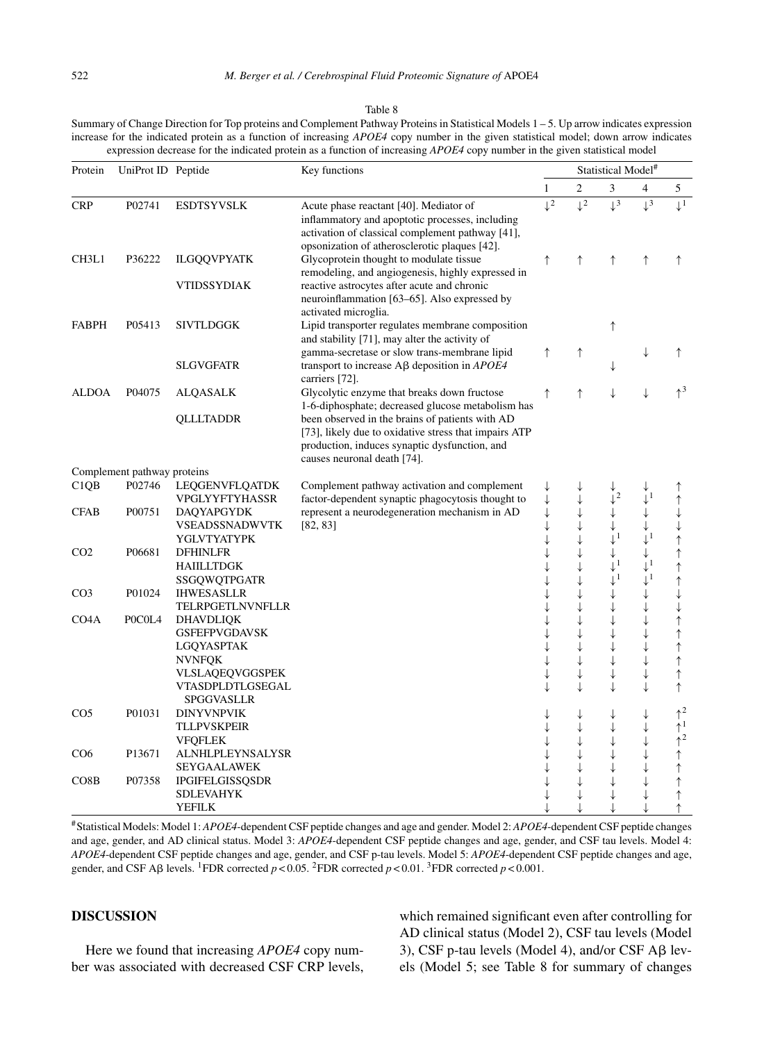#### Table 8

Summary of Change Direction for Top proteins and Complement Pathway Proteins in Statistical Models 1 – 5. Up arrow indicates expression increase for the indicated protein as a function of increasing *APOE4* copy number in the given statistical model; down arrow indicates expression decrease for the indicated protein as a function of increasing *APOE4* copy number in the given statistical model

| Protein                 | UniProt ID Peptide          |                                          | Key functions                                                                                                                                                                                  |            |                           | Statistical Model <sup>#</sup> |                |                    |
|-------------------------|-----------------------------|------------------------------------------|------------------------------------------------------------------------------------------------------------------------------------------------------------------------------------------------|------------|---------------------------|--------------------------------|----------------|--------------------|
|                         |                             |                                          |                                                                                                                                                                                                | 1          | 2                         | 3                              | 4              | 5                  |
| <b>CRP</b>              | P02741                      | <b>ESDTSYVSLK</b>                        | Acute phase reactant [40]. Mediator of<br>inflammatory and apoptotic processes, including<br>activation of classical complement pathway [41],<br>opsonization of atherosclerotic plaques [42]. | $\sqrt{2}$ | $\overline{\downarrow^2}$ | $\overline{\mathbb{L}^3}$      | $l^3$          | $\mathbf{L}^1$     |
| CH3L1                   | P36222                      | <b>ILGQQVPYATK</b><br><b>VTIDSSYDIAK</b> | Glycoprotein thought to modulate tissue<br>remodeling, and angiogenesis, highly expressed in<br>reactive astrocytes after acute and chronic<br>neuroinflammation [63-65]. Also expressed by    | ↑          | ↑                         | ↑                              | ↑              |                    |
| <b>FABPH</b>            | P05413                      | <b>SIVTLDGGK</b>                         | activated microglia.<br>Lipid transporter regulates membrane composition<br>and stability [71], may alter the activity of                                                                      |            |                           | ↑                              |                |                    |
|                         |                             | <b>SLGVGFATR</b>                         | gamma-secretase or slow trans-membrane lipid<br>transport to increase $\text{A}\beta$ deposition in $APOE4$<br>carriers [72].                                                                  | $\uparrow$ | ↑                         | ↓                              | ↓              | ↑                  |
| <b>ALDOA</b>            | P04075                      | <b>ALQASALK</b>                          | Glycolytic enzyme that breaks down fructose<br>1-6-diphosphate; decreased glucose metabolism has                                                                                               | $\uparrow$ | $\uparrow$                | $\downarrow$                   | ↓              | $\uparrow^3$       |
|                         |                             | <b>QLLLTADDR</b>                         | been observed in the brains of patients with AD<br>[73], likely due to oxidative stress that impairs ATP<br>production, induces synaptic dysfunction, and<br>causes neuronal death [74].       |            |                           |                                |                |                    |
|                         | Complement pathway proteins |                                          |                                                                                                                                                                                                |            |                           |                                |                |                    |
| C1QB                    | P02746                      | LEQGENVFLQATDK                           | Complement pathway activation and complement                                                                                                                                                   |            |                           |                                |                |                    |
|                         |                             | VPGLYYFTYHASSR                           | factor-dependent synaptic phagocytosis thought to                                                                                                                                              |            |                           |                                |                |                    |
| <b>CFAB</b>             | P00751                      | <b>DAQYAPGYDK</b>                        | represent a neurodegeneration mechanism in AD                                                                                                                                                  |            |                           |                                |                |                    |
|                         |                             | <b>VSEADSSNADWVTK</b>                    | [82, 83]                                                                                                                                                                                       |            |                           |                                |                |                    |
|                         |                             | YGLVTYATYPK                              |                                                                                                                                                                                                |            |                           |                                |                | ↑                  |
| CO <sub>2</sub>         | P06681                      | <b>DFHINLFR</b>                          |                                                                                                                                                                                                |            |                           |                                |                | $\uparrow$         |
|                         |                             | <b>HAIILLTDGK</b>                        |                                                                                                                                                                                                |            |                           |                                | $\downarrow^1$ | ↑                  |
|                         |                             | <b>SSGQWQTPGATR</b>                      |                                                                                                                                                                                                |            |                           |                                |                | ↑                  |
| CO <sub>3</sub>         | P01024                      | <b>IHWESASLLR</b>                        |                                                                                                                                                                                                |            |                           |                                |                | ↓                  |
|                         |                             | TELRPGETLNVNFLLR                         |                                                                                                                                                                                                |            |                           |                                |                | ↓                  |
| CO <sub>4</sub> A       | POCOL4                      | <b>DHAVDLIQK</b>                         |                                                                                                                                                                                                |            |                           |                                |                | ↑                  |
|                         |                             | <b>GSFEFPVGDAVSK</b>                     |                                                                                                                                                                                                |            |                           |                                |                | ↑                  |
|                         |                             | LGQYASPTAK                               |                                                                                                                                                                                                |            |                           |                                |                | $\uparrow$         |
|                         |                             | <b>NVNFQK</b>                            |                                                                                                                                                                                                |            |                           | ↓                              |                | ↑                  |
|                         |                             | VLSLAQEQVGGSPEK                          |                                                                                                                                                                                                |            |                           |                                |                | $\uparrow$         |
|                         |                             | VTASDPLDTLGSEGAL<br>SPGGVASLLR           |                                                                                                                                                                                                |            | ↓                         |                                |                | $\uparrow$         |
| CO <sub>5</sub>         | P01031                      | <b>DINYVNPVIK</b>                        |                                                                                                                                                                                                |            | ↓                         | ↓                              |                | $\uparrow^2$       |
|                         |                             | <b>TLLPVSKPEIR</b>                       |                                                                                                                                                                                                |            |                           |                                |                | $\uparrow^1$       |
|                         |                             | <b>VFQFLEK</b>                           |                                                                                                                                                                                                |            |                           |                                |                | $\dot{\uparrow}^2$ |
| CO <sub>6</sub><br>CO8B | P13671                      | ALNHLPLEYNSALYSR                         |                                                                                                                                                                                                |            |                           |                                |                | ↑                  |
|                         |                             | SEYGAALAWEK                              |                                                                                                                                                                                                |            |                           |                                |                | ↑                  |
|                         | P07358                      | <b>IPGIFELGISSQSDR</b>                   |                                                                                                                                                                                                |            |                           |                                |                | ↑                  |
|                         |                             | <b>SDLEVAHYK</b>                         |                                                                                                                                                                                                |            |                           |                                |                | ↑                  |
|                         |                             | YEFILK                                   |                                                                                                                                                                                                |            |                           |                                |                | ↑                  |

#Statistical Models: Model 1: *APOE4*-dependent CSF peptide changes and age and gender. Model 2: *APOE4*-dependent CSF peptide changes and age, gender, and AD clinical status. Model 3: *APOE4*-dependent CSF peptide changes and age, gender, and CSF tau levels. Model 4: *APOE4*-dependent CSF peptide changes and age, gender, and CSF p-tau levels. Model 5: *APOE4*-dependent CSF peptide changes and age, gender, and CSF A $\beta$  levels. <sup>1</sup>FDR corrected *p* < 0.05. <sup>2</sup>FDR corrected *p* < 0.01. <sup>3</sup>FDR corrected *p* < 0.001.

## **DISCUSSION**

Here we found that increasing *APOE4* copy number was associated with decreased CSF CRP levels,

which remained significant even after controlling for AD clinical status (Model 2), CSF tau levels (Model 3), CSF p-tau levels (Model 4), and/or CSF  $\mathsf{A}\beta$  levels (Model 5; see Table 8 for summary of changes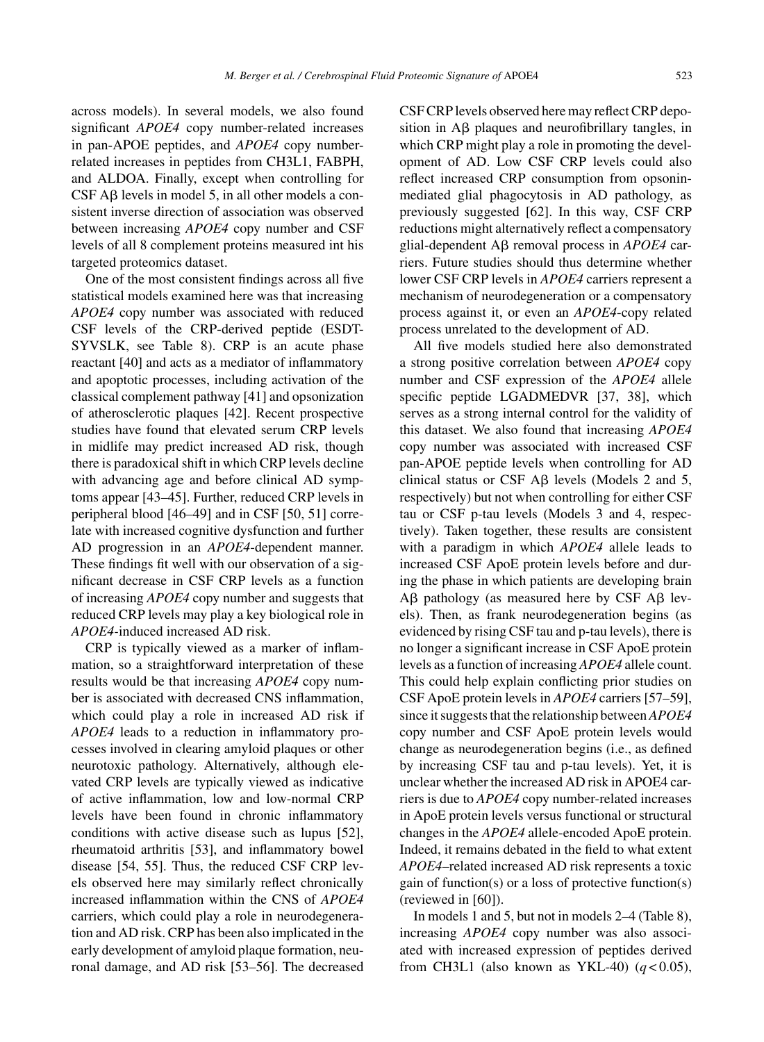across models). In several models, we also found significant *APOE4* copy number-related increases in pan-APOE peptides, and *APOE4* copy numberrelated increases in peptides from CH3L1, FABPH, and ALDOA. Finally, except when controlling for  $CSF$  A $\beta$  levels in model 5, in all other models a consistent inverse direction of association was observed between increasing *APOE4* copy number and CSF levels of all 8 complement proteins measured int his targeted proteomics dataset.

One of the most consistent findings across all five statistical models examined here was that increasing *APOE4* copy number was associated with reduced CSF levels of the CRP-derived peptide (ESDT-SYVSLK, see Table 8). CRP is an acute phase reactant [40] and acts as a mediator of inflammatory and apoptotic processes, including activation of the classical complement pathway [41] and opsonization of atherosclerotic plaques [42]. Recent prospective studies have found that elevated serum CRP levels in midlife may predict increased AD risk, though there is paradoxical shift in which CRP levels decline with advancing age and before clinical AD symptoms appear [43–45]. Further, reduced CRP levels in peripheral blood [46–49] and in CSF [50, 51] correlate with increased cognitive dysfunction and further AD progression in an *APOE4*-dependent manner. These findings fit well with our observation of a significant decrease in CSF CRP levels as a function of increasing *APOE4* copy number and suggests that reduced CRP levels may play a key biological role in *APOE4-*induced increased AD risk.

CRP is typically viewed as a marker of inflammation, so a straightforward interpretation of these results would be that increasing *APOE4* copy number is associated with decreased CNS inflammation, which could play a role in increased AD risk if *APOE4* leads to a reduction in inflammatory processes involved in clearing amyloid plaques or other neurotoxic pathology. Alternatively, although elevated CRP levels are typically viewed as indicative of active inflammation, low and low-normal CRP levels have been found in chronic inflammatory conditions with active disease such as lupus [52], rheumatoid arthritis [53], and inflammatory bowel disease [54, 55]. Thus, the reduced CSF CRP levels observed here may similarly reflect chronically increased inflammation within the CNS of *APOE4* carriers, which could play a role in neurodegeneration and AD risk. CRP has been also implicated in the early development of amyloid plaque formation, neuronal damage, and AD risk [53–56]. The decreased CSF CRP levels observed here may reflect CRP depo $sition$  in  $A\beta$  plaques and neurofibrillary tangles, in which CRP might play a role in promoting the development of AD. Low CSF CRP levels could also reflect increased CRP consumption from opsoninmediated glial phagocytosis in AD pathology, as previously suggested [62]. In this way, CSF CRP reductions might alternatively reflect a compensatory glial-dependent Aβ removal process in *APOE4* carriers. Future studies should thus determine whether lower CSF CRP levels in *APOE4* carriers represent a mechanism of neurodegeneration or a compensatory process against it, or even an *APOE4*-copy related process unrelated to the development of AD.

All five models studied here also demonstrated a strong positive correlation between *APOE4* copy number and CSF expression of the *APOE4* allele specific peptide LGADMEDVR [37, 38], which serves as a strong internal control for the validity of this dataset. We also found that increasing *APOE4* copy number was associated with increased CSF pan-APOE peptide levels when controlling for AD clinical status or CSF  $\text{AB}$  levels (Models 2 and 5, respectively) but not when controlling for either CSF tau or CSF p-tau levels (Models 3 and 4, respectively). Taken together, these results are consistent with a paradigm in which *APOE4* allele leads to increased CSF ApoE protein levels before and during the phase in which patients are developing brain  $A\beta$  pathology (as measured here by CSF  $A\beta$  levels). Then, as frank neurodegeneration begins (as evidenced by rising CSF tau and p-tau levels), there is no longer a significant increase in CSF ApoE protein levels as a function of increasing *APOE4* allele count. This could help explain conflicting prior studies on CSF ApoE protein levels in *APOE4* carriers [57–59], since it suggests that the relationship between *APOE4* copy number and CSF ApoE protein levels would change as neurodegeneration begins (i.e., as defined by increasing CSF tau and p-tau levels). Yet, it is unclear whether the increased AD risk in APOE4 carriers is due to *APOE4* copy number-related increases in ApoE protein levels versus functional or structural changes in the *APOE4* allele-encoded ApoE protein. Indeed, it remains debated in the field to what extent *APOE4*–related increased AD risk represents a toxic gain of function(s) or a loss of protective function(s) (reviewed in [60]).

In models 1 and 5, but not in models 2–4 (Table 8), increasing *APOE4* copy number was also associated with increased expression of peptides derived from CH3L1 (also known as YKL-40)  $(q<0.05)$ ,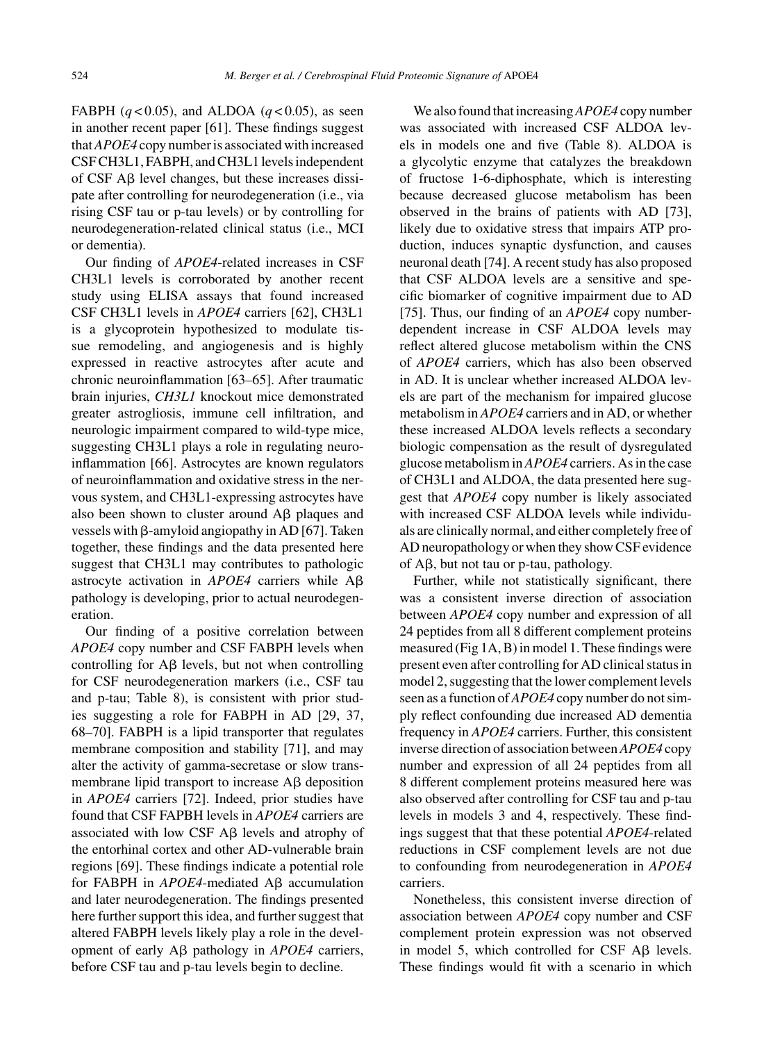FABPH  $(q<0.05)$ , and ALDOA  $(q<0.05)$ , as seen in another recent paper [61]. These findings suggest that*APOE4* copy number is associated with increased CSF CH3L1, FABPH, and CH3L1 levels independent of CSF  $\mathsf{AB}$  level changes, but these increases dissipate after controlling for neurodegeneration (i.e., via rising CSF tau or p-tau levels) or by controlling for neurodegeneration-related clinical status (i.e., MCI or dementia).

Our finding of *APOE4*-related increases in CSF CH3L1 levels is corroborated by another recent study using ELISA assays that found increased CSF CH3L1 levels in *APOE4* carriers [62], CH3L1 is a glycoprotein hypothesized to modulate tissue remodeling, and angiogenesis and is highly expressed in reactive astrocytes after acute and chronic neuroinflammation [63–65]. After traumatic brain injuries, *CH3L1* knockout mice demonstrated greater astrogliosis, immune cell infiltration, and neurologic impairment compared to wild-type mice, suggesting CH3L1 plays a role in regulating neuroinflammation [66]. Astrocytes are known regulators of neuroinflammation and oxidative stress in the nervous system, and CH3L1-expressing astrocytes have also been shown to cluster around  $\overrightarrow{AB}$  plaques and vessels with  $\beta$ -amyloid angiopathy in AD [67]. Taken together, these findings and the data presented here suggest that CH3L1 may contributes to pathologic astrocyte activation in  $APOE4$  carriers while  $A\beta$ pathology is developing, prior to actual neurodegeneration.

Our finding of a positive correlation between *APOE4* copy number and CSF FABPH levels when controlling for  $\mathbf{A}\boldsymbol{\beta}$  levels, but not when controlling for CSF neurodegeneration markers (i.e., CSF tau and p-tau; Table 8), is consistent with prior studies suggesting a role for FABPH in AD [29, 37, 68–70]. FABPH is a lipid transporter that regulates membrane composition and stability [71], and may alter the activity of gamma-secretase or slow transmembrane lipid transport to increase  $\text{A}\beta$  deposition in *APOE4* carriers [72]. Indeed, prior studies have found that CSF FAPBH levels in *APOE4* carriers are associated with low CSF  $\text{A}\beta$  levels and atrophy of the entorhinal cortex and other AD-vulnerable brain regions [69]. These findings indicate a potential role for FABPH in  $APOE4$ -mediated A $\beta$  accumulation and later neurodegeneration. The findings presented here further support this idea, and further suggest that altered FABPH levels likely play a role in the development of early A<sub>B</sub> pathology in *APOE4* carriers, before CSF tau and p-tau levels begin to decline.

We also found that increasing*APOE4* copy number was associated with increased CSF ALDOA levels in models one and five (Table 8). ALDOA is a glycolytic enzyme that catalyzes the breakdown of fructose 1-6-diphosphate, which is interesting because decreased glucose metabolism has been observed in the brains of patients with AD [73], likely due to oxidative stress that impairs ATP production, induces synaptic dysfunction, and causes neuronal death [74]. A recent study has also proposed that CSF ALDOA levels are a sensitive and specific biomarker of cognitive impairment due to AD [75]. Thus, our finding of an *APOE4* copy numberdependent increase in CSF ALDOA levels may reflect altered glucose metabolism within the CNS of *APOE4* carriers, which has also been observed in AD. It is unclear whether increased ALDOA levels are part of the mechanism for impaired glucose metabolism in *APOE4* carriers and in AD, or whether these increased ALDOA levels reflects a secondary biologic compensation as the result of dysregulated glucose metabolism in *APOE4* carriers. As in the case of CH3L1 and ALDOA, the data presented here suggest that *APOE4* copy number is likely associated with increased CSF ALDOA levels while individuals are clinically normal, and either completely free of AD neuropathology or when they show CSF evidence of A $\beta$ , but not tau or p-tau, pathology.

Further, while not statistically significant, there was a consistent inverse direction of association between *APOE4* copy number and expression of all 24 peptides from all 8 different complement proteins measured (Fig 1A, B) in model 1. These findings were present even after controlling for AD clinical status in model 2, suggesting that the lower complement levels seen as a function of *APOE4* copy number do not simply reflect confounding due increased AD dementia frequency in *APOE4* carriers. Further, this consistent inverse direction of association between *APOE4* copy number and expression of all 24 peptides from all 8 different complement proteins measured here was also observed after controlling for CSF tau and p-tau levels in models 3 and 4, respectively. These findings suggest that that these potential *APOE4*-related reductions in CSF complement levels are not due to confounding from neurodegeneration in *APOE4* carriers.

Nonetheless, this consistent inverse direction of association between *APOE4* copy number and CSF complement protein expression was not observed in model 5, which controlled for CSF  $\mathsf{AB}$  levels. These findings would fit with a scenario in which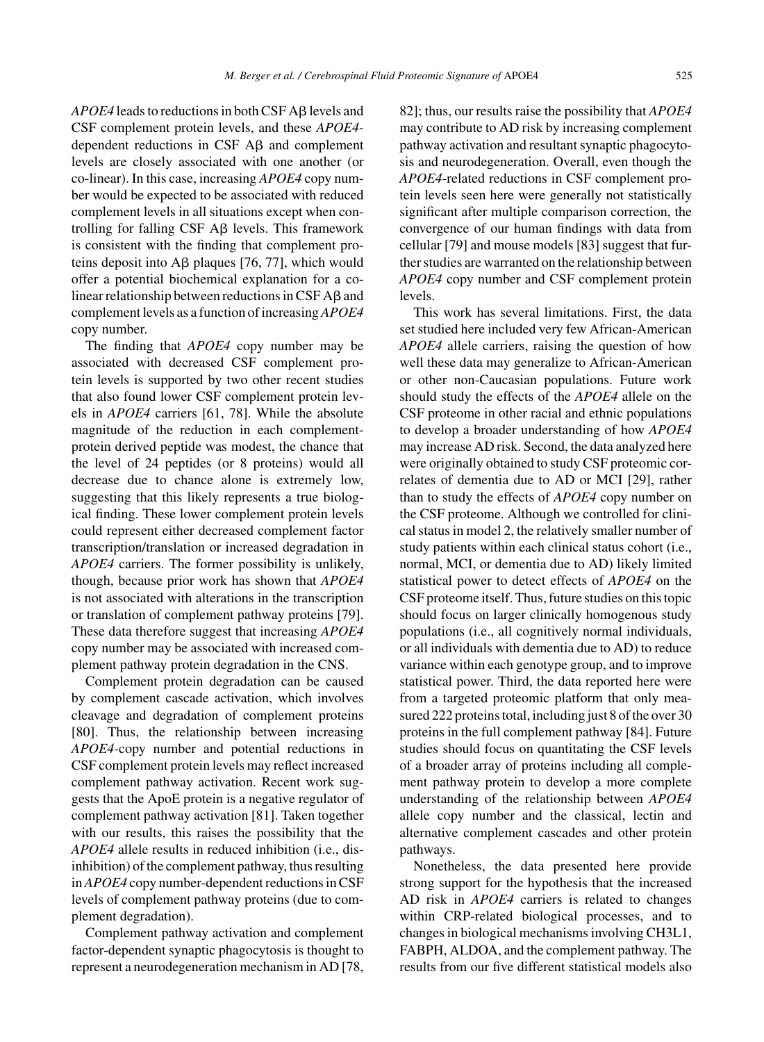${\it APOE4}$  leads to reductions in both  ${\rm CSF}$  A $\beta$  levels and CSF complement protein levels, and these *APOE4* dependent reductions in  $CSF$  A $\beta$  and complement levels are closely associated with one another (or co-linear). In this case, increasing *APOE4* copy number would be expected to be associated with reduced complement levels in all situations except when controlling for falling  $CSF$  A $\beta$  levels. This framework is consistent with the finding that complement proteins deposit into  $\mathbf{A}\mathbf{\beta}$  plaques [76, 77], which would offer a potential biochemical explanation for a colinear relationship between reductions in  $CSF$  A $\beta$  and complement levels as a function of increasing *APOE4* copy number.

The finding that *APOE4* copy number may be associated with decreased CSF complement protein levels is supported by two other recent studies that also found lower CSF complement protein levels in *APOE4* carriers [61, 78]. While the absolute magnitude of the reduction in each complementprotein derived peptide was modest, the chance that the level of 24 peptides (or 8 proteins) would all decrease due to chance alone is extremely low, suggesting that this likely represents a true biological finding. These lower complement protein levels could represent either decreased complement factor transcription/translation or increased degradation in *APOE4* carriers. The former possibility is unlikely, though, because prior work has shown that *APOE4* is not associated with alterations in the transcription or translation of complement pathway proteins [79]. These data therefore suggest that increasing *APOE4* copy number may be associated with increased complement pathway protein degradation in the CNS.

Complement protein degradation can be caused by complement cascade activation, which involves cleavage and degradation of complement proteins [80]. Thus, the relationship between increasing *APOE4-*copy number and potential reductions in CSF complement protein levels may reflect increased complement pathway activation. Recent work suggests that the ApoE protein is a negative regulator of complement pathway activation [81]. Taken together with our results, this raises the possibility that the *APOE4* allele results in reduced inhibition (i.e., disinhibition) of the complement pathway, thus resulting in *APOE4* copy number-dependent reductions in CSF levels of complement pathway proteins (due to complement degradation).

Complement pathway activation and complement factor-dependent synaptic phagocytosis is thought to represent a neurodegeneration mechanism in AD [78,

82]; thus, our results raise the possibility that *APOE4* may contribute to AD risk by increasing complement pathway activation and resultant synaptic phagocytosis and neurodegeneration. Overall, even though the *APOE4*-related reductions in CSF complement protein levels seen here were generally not statistically significant after multiple comparison correction, the convergence of our human findings with data from cellular [79] and mouse models [83] suggest that further studies are warranted on the relationship between *APOE4* copy number and CSF complement protein levels.

This work has several limitations. First, the data set studied here included very few African-American *APOE4* allele carriers, raising the question of how well these data may generalize to African-American or other non-Caucasian populations. Future work should study the effects of the *APOE4* allele on the CSF proteome in other racial and ethnic populations to develop a broader understanding of how *APOE4* may increase AD risk. Second, the data analyzed here were originally obtained to study CSF proteomic correlates of dementia due to AD or MCI [29], rather than to study the effects of *APOE4* copy number on the CSF proteome. Although we controlled for clinical status in model 2, the relatively smaller number of study patients within each clinical status cohort (i.e., normal, MCI, or dementia due to AD) likely limited statistical power to detect effects of *APOE4* on the CSF proteome itself. Thus, future studies on this topic should focus on larger clinically homogenous study populations (i.e., all cognitively normal individuals, or all individuals with dementia due to AD) to reduce variance within each genotype group, and to improve statistical power. Third, the data reported here were from a targeted proteomic platform that only measured 222 proteins total, including just 8 of the over 30 proteins in the full complement pathway [84]. Future studies should focus on quantitating the CSF levels of a broader array of proteins including all complement pathway protein to develop a more complete understanding of the relationship between *APOE4* allele copy number and the classical, lectin and alternative complement cascades and other protein pathways.

Nonetheless, the data presented here provide strong support for the hypothesis that the increased AD risk in *APOE4* carriers is related to changes within CRP-related biological processes, and to changes in biological mechanisms involving CH3L1, FABPH, ALDOA, and the complement pathway. The results from our five different statistical models also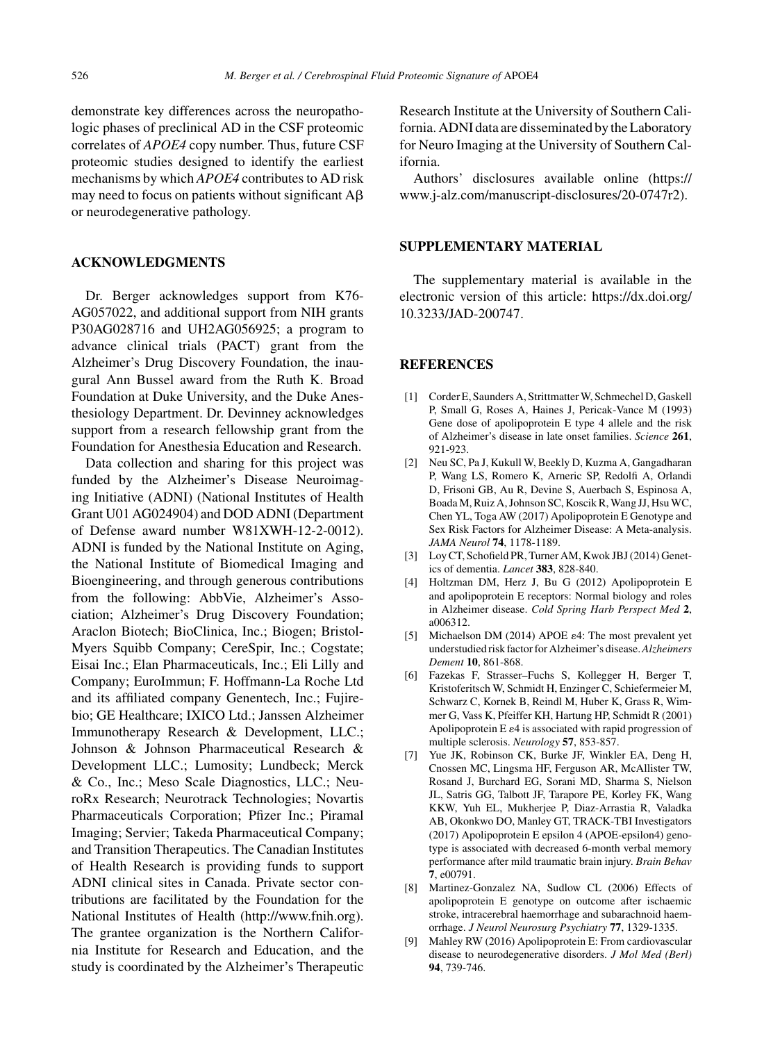demonstrate key differences across the neuropathologic phases of preclinical AD in the CSF proteomic correlates of *APOE4* copy number. Thus, future CSF proteomic studies designed to identify the earliest mechanisms by which *APOE4* contributes to AD risk may need to focus on patients without significant  $A\beta$ or neurodegenerative pathology.

# **ACKNOWLEDGMENTS**

Dr. Berger acknowledges support from K76- AG057022, and additional support from NIH grants P30AG028716 and UH2AG056925; a program to advance clinical trials (PACT) grant from the Alzheimer's Drug Discovery Foundation, the inaugural Ann Bussel award from the Ruth K. Broad Foundation at Duke University, and the Duke Anesthesiology Department. Dr. Devinney acknowledges support from a research fellowship grant from the Foundation for Anesthesia Education and Research.

Data collection and sharing for this project was funded by the Alzheimer's Disease Neuroimaging Initiative (ADNI) (National Institutes of Health Grant U01 AG024904) and DOD ADNI (Department of Defense award number W81XWH-12-2-0012). ADNI is funded by the National Institute on Aging, the National Institute of Biomedical Imaging and Bioengineering, and through generous contributions from the following: AbbVie, Alzheimer's Association; Alzheimer's Drug Discovery Foundation; Araclon Biotech; BioClinica, Inc.; Biogen; Bristol-Myers Squibb Company; CereSpir, Inc.; Cogstate; Eisai Inc.; Elan Pharmaceuticals, Inc.; Eli Lilly and Company; EuroImmun; F. Hoffmann-La Roche Ltd and its affiliated company Genentech, Inc.; Fujirebio; GE Healthcare; IXICO Ltd.; Janssen Alzheimer Immunotherapy Research & Development, LLC.; Johnson & Johnson Pharmaceutical Research & Development LLC.; Lumosity; Lundbeck; Merck & Co., Inc.; Meso Scale Diagnostics, LLC.; NeuroRx Research; Neurotrack Technologies; Novartis Pharmaceuticals Corporation; Pfizer Inc.; Piramal Imaging; Servier; Takeda Pharmaceutical Company; and Transition Therapeutics. The Canadian Institutes of Health Research is providing funds to support ADNI clinical sites in Canada. Private sector contributions are facilitated by the Foundation for the National Institutes of Health ([http://www.fnih.org\)](http://www.fnih.org). The grantee organization is the Northern California Institute for Research and Education, and the study is coordinated by the Alzheimer's Therapeutic

Research Institute at the University of Southern California. ADNI data are disseminated by the Laboratory for Neuro Imaging at the University of Southern California.

Authors' disclosures available online [\(https://](https://www.j-alz.com/manuscript-disclosures/20-0747r2) www.j-alz.com/manuscript-disclosures/20-0747r2).

## **SUPPLEMENTARY MATERIAL**

The supplementary material is available in the electronic version of this article: [https://dx.doi.org/](https://dx.doi.org/10.3233/JAD-200747) 10.3233/JAD-200747.

## **REFERENCES**

- [1] Corder E, Saunders A, Strittmatter W, Schmechel D, Gaskell P, Small G, Roses A, Haines J, Pericak-Vance M (1993) Gene dose of apolipoprotein E type 4 allele and the risk of Alzheimer's disease in late onset families. *Science* **261**, 921-923.
- [2] Neu SC, Pa J, Kukull W, Beekly D, Kuzma A, Gangadharan P, Wang LS, Romero K, Arneric SP, Redolfi A, Orlandi D, Frisoni GB, Au R, Devine S, Auerbach S, Espinosa A, Boada M, Ruiz A, Johnson SC, Koscik R, Wang JJ, Hsu WC, Chen YL, Toga AW (2017) Apolipoprotein E Genotype and Sex Risk Factors for Alzheimer Disease: A Meta-analysis. *JAMA Neurol* **74**, 1178-1189.
- [3] Loy CT, Schofield PR, Turner AM, Kwok JBJ (2014) Genetics of dementia. *Lancet* **383**, 828-840.
- [4] Holtzman DM, Herz J, Bu G (2012) Apolipoprotein E and apolipoprotein E receptors: Normal biology and roles in Alzheimer disease. *Cold Spring Harb Perspect Med* **2**, a006312.
- [5] Michaelson DM (2014) APOE  $\varepsilon$ 4: The most prevalent yet understudied risk factor for Alzheimer's disease.*Alzheimers Dement* **10**, 861-868.
- [6] Fazekas F, Strasser–Fuchs S, Kollegger H, Berger T, Kristoferitsch W, Schmidt H, Enzinger C, Schiefermeier M, Schwarz C, Kornek B, Reindl M, Huber K, Grass R, Wimmer G, Vass K, Pfeiffer KH, Hartung HP, Schmidt R (2001) Apolipoprotein E  $\varepsilon$ 4 is associated with rapid progression of multiple sclerosis. *Neurology* **57**, 853-857.
- [7] Yue JK, Robinson CK, Burke JF, Winkler EA, Deng H, Cnossen MC, Lingsma HF, Ferguson AR, McAllister TW, Rosand J, Burchard EG, Sorani MD, Sharma S, Nielson JL, Satris GG, Talbott JF, Tarapore PE, Korley FK, Wang KKW, Yuh EL, Mukherjee P, Diaz-Arrastia R, Valadka AB, Okonkwo DO, Manley GT, TRACK-TBI Investigators (2017) Apolipoprotein E epsilon 4 (APOE-epsilon4) genotype is associated with decreased 6-month verbal memory performance after mild traumatic brain injury. *Brain Behav* **7**, e00791.
- [8] Martinez-Gonzalez NA, Sudlow CL (2006) Effects of apolipoprotein E genotype on outcome after ischaemic stroke, intracerebral haemorrhage and subarachnoid haemorrhage. *J Neurol Neurosurg Psychiatry* **77**, 1329-1335.
- [9] Mahley RW (2016) Apolipoprotein E: From cardiovascular disease to neurodegenerative disorders. *J Mol Med (Berl)* **94**, 739-746.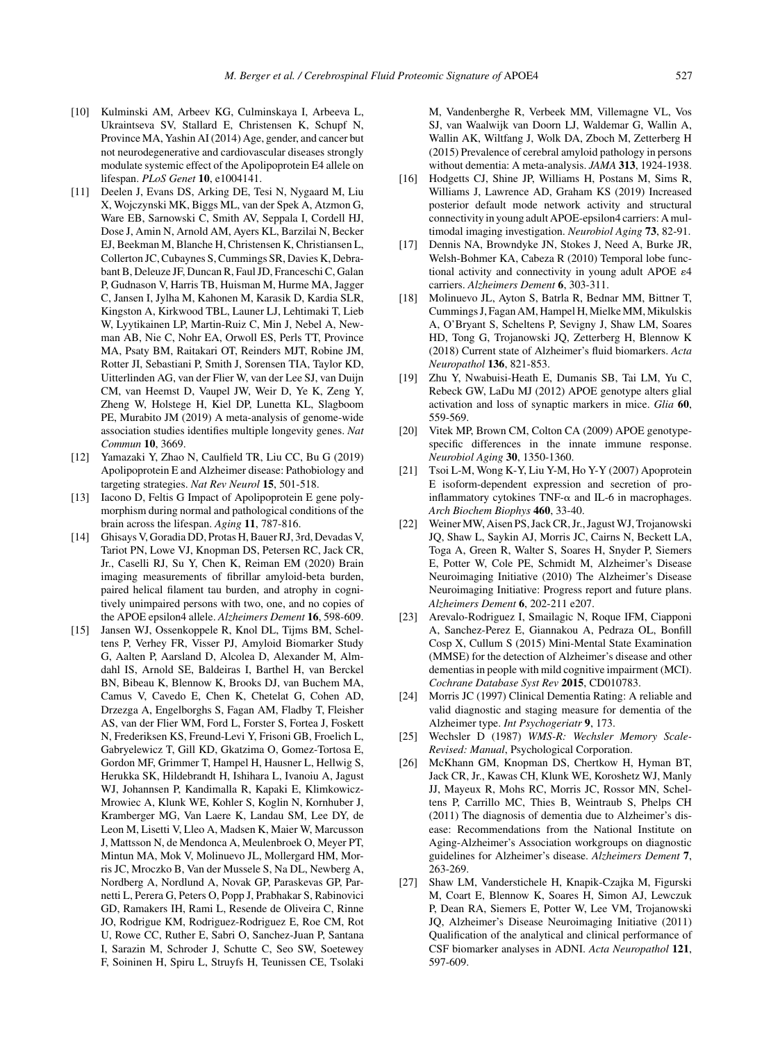- [10] Kulminski AM, Arbeev KG, Culminskaya I, Arbeeva L, Ukraintseva SV, Stallard E, Christensen K, Schupf N, Province MA, Yashin AI (2014) Age, gender, and cancer but not neurodegenerative and cardiovascular diseases strongly modulate systemic effect of the Apolipoprotein E4 allele on lifespan. *PLoS Genet* **10**, e1004141.
- [11] Deelen J, Evans DS, Arking DE, Tesi N, Nygaard M, Liu X, Wojczynski MK, Biggs ML, van der Spek A, Atzmon G, Ware EB, Sarnowski C, Smith AV, Seppala I, Cordell HJ, Dose J, Amin N, Arnold AM, Ayers KL, Barzilai N, Becker EJ, Beekman M, Blanche H, Christensen K, Christiansen L, Collerton JC, Cubaynes S, Cummings SR, Davies K, Debrabant B, Deleuze JF, Duncan R, Faul JD, Franceschi C, Galan P, Gudnason V, Harris TB, Huisman M, Hurme MA, Jagger C, Jansen I, Jylha M, Kahonen M, Karasik D, Kardia SLR, Kingston A, Kirkwood TBL, Launer LJ, Lehtimaki T, Lieb W, Lyytikainen LP, Martin-Ruiz C, Min J, Nebel A, Newman AB, Nie C, Nohr EA, Orwoll ES, Perls TT, Province MA, Psaty BM, Raitakari OT, Reinders MJT, Robine JM, Rotter JI, Sebastiani P, Smith J, Sorensen TIA, Taylor KD, Uitterlinden AG, van der Flier W, van der Lee SJ, van Duijn CM, van Heemst D, Vaupel JW, Weir D, Ye K, Zeng Y, Zheng W, Holstege H, Kiel DP, Lunetta KL, Slagboom PE, Murabito JM (2019) A meta-analysis of genome-wide association studies identifies multiple longevity genes. *Nat Commun* **10**, 3669.
- [12] Yamazaki Y, Zhao N, Caulfield TR, Liu CC, Bu G (2019) Apolipoprotein E and Alzheimer disease: Pathobiology and targeting strategies. *Nat Rev Neurol* **15**, 501-518.
- [13] Iacono D, Feltis G Impact of Apolipoprotein E gene polymorphism during normal and pathological conditions of the brain across the lifespan. *Aging* **11**, 787-816.
- [14] Ghisays V, Goradia DD, Protas H, Bauer RJ, 3rd, Devadas V, Tariot PN, Lowe VJ, Knopman DS, Petersen RC, Jack CR, Jr., Caselli RJ, Su Y, Chen K, Reiman EM (2020) Brain imaging measurements of fibrillar amyloid-beta burden, paired helical filament tau burden, and atrophy in cognitively unimpaired persons with two, one, and no copies of the APOE epsilon4 allele. *Alzheimers Dement* **16**, 598-609.
- [15] Jansen WJ, Ossenkoppele R, Knol DL, Tijms BM, Scheltens P, Verhey FR, Visser PJ, Amyloid Biomarker Study G, Aalten P, Aarsland D, Alcolea D, Alexander M, Almdahl IS, Arnold SE, Baldeiras I, Barthel H, van Berckel BN, Bibeau K, Blennow K, Brooks DJ, van Buchem MA, Camus V, Cavedo E, Chen K, Chetelat G, Cohen AD, Drzezga A, Engelborghs S, Fagan AM, Fladby T, Fleisher AS, van der Flier WM, Ford L, Forster S, Fortea J, Foskett N, Frederiksen KS, Freund-Levi Y, Frisoni GB, Froelich L, Gabryelewicz T, Gill KD, Gkatzima O, Gomez-Tortosa E, Gordon MF, Grimmer T, Hampel H, Hausner L, Hellwig S, Herukka SK, Hildebrandt H, Ishihara L, Ivanoiu A, Jagust WJ, Johannsen P, Kandimalla R, Kapaki E, Klimkowicz-Mrowiec A, Klunk WE, Kohler S, Koglin N, Kornhuber J, Kramberger MG, Van Laere K, Landau SM, Lee DY, de Leon M, Lisetti V, Lleo A, Madsen K, Maier W, Marcusson J, Mattsson N, de Mendonca A, Meulenbroek O, Meyer PT, Mintun MA, Mok V, Molinuevo JL, Mollergard HM, Morris JC, Mroczko B, Van der Mussele S, Na DL, Newberg A, Nordberg A, Nordlund A, Novak GP, Paraskevas GP, Parnetti L, Perera G, Peters O, Popp J, Prabhakar S, Rabinovici GD, Ramakers IH, Rami L, Resende de Oliveira C, Rinne JO, Rodrigue KM, Rodriguez-Rodriguez E, Roe CM, Rot U, Rowe CC, Ruther E, Sabri O, Sanchez-Juan P, Santana I, Sarazin M, Schroder J, Schutte C, Seo SW, Soetewey F, Soininen H, Spiru L, Struyfs H, Teunissen CE, Tsolaki

M, Vandenberghe R, Verbeek MM, Villemagne VL, Vos SJ, van Waalwijk van Doorn LJ, Waldemar G, Wallin A, Wallin AK, Wiltfang J, Wolk DA, Zboch M, Zetterberg H (2015) Prevalence of cerebral amyloid pathology in persons without dementia: A meta-analysis. *JAMA* **313**, 1924-1938.

- [16] Hodgetts CJ, Shine JP, Williams H, Postans M, Sims R, Williams J, Lawrence AD, Graham KS (2019) Increased posterior default mode network activity and structural connectivity in young adult APOE-epsilon4 carriers: A multimodal imaging investigation. *Neurobiol Aging* **73**, 82-91.
- [17] Dennis NA, Browndyke JN, Stokes J, Need A, Burke JR, Welsh-Bohmer KA, Cabeza R (2010) Temporal lobe functional activity and connectivity in young adult APOE  $\varepsilon$ 4 carriers. *Alzheimers Dement* **6**, 303-311.
- [18] Molinuevo JL, Ayton S, Batrla R, Bednar MM, Bittner T, Cummings J, Fagan AM, Hampel H, Mielke MM, Mikulskis A, O'Bryant S, Scheltens P, Sevigny J, Shaw LM, Soares HD, Tong G, Trojanowski JQ, Zetterberg H, Blennow K (2018) Current state of Alzheimer's fluid biomarkers. *Acta Neuropathol* **136**, 821-853.
- [19] Zhu Y, Nwabuisi-Heath E, Dumanis SB, Tai LM, Yu C, Rebeck GW, LaDu MJ (2012) APOE genotype alters glial activation and loss of synaptic markers in mice. *Glia* **60**, 559-569.
- [20] Vitek MP, Brown CM, Colton CA (2009) APOE genotypespecific differences in the innate immune response. *Neurobiol Aging* **30**, 1350-1360.
- [21] Tsoi L-M, Wong K-Y, Liu Y-M, Ho Y-Y (2007) Apoprotein E isoform-dependent expression and secretion of proinflammatory cytokines TNF- $\alpha$  and IL-6 in macrophages. *Arch Biochem Biophys* **460**, 33-40.
- [22] Weiner MW, Aisen PS, Jack CR, Jr., Jagust WJ, Trojanowski JQ, Shaw L, Saykin AJ, Morris JC, Cairns N, Beckett LA, Toga A, Green R, Walter S, Soares H, Snyder P, Siemers E, Potter W, Cole PE, Schmidt M, Alzheimer's Disease Neuroimaging Initiative (2010) The Alzheimer's Disease Neuroimaging Initiative: Progress report and future plans. *Alzheimers Dement* **6**, 202-211 e207.
- [23] Arevalo-Rodriguez I, Smailagic N, Roque IFM, Ciapponi A, Sanchez-Perez E, Giannakou A, Pedraza OL, Bonfill Cosp X, Cullum S (2015) Mini-Mental State Examination (MMSE) for the detection of Alzheimer's disease and other dementias in people with mild cognitive impairment (MCI). *Cochrane Database Syst Rev* **2015**, CD010783.
- [24] Morris JC (1997) Clinical Dementia Rating: A reliable and valid diagnostic and staging measure for dementia of the Alzheimer type. *Int Psychogeriatr* **9**, 173.
- [25] Wechsler D (1987) *WMS-R: Wechsler Memory Scale-Revised: Manual*, Psychological Corporation.
- [26] McKhann GM, Knopman DS, Chertkow H, Hyman BT, Jack CR, Jr., Kawas CH, Klunk WE, Koroshetz WJ, Manly JJ, Mayeux R, Mohs RC, Morris JC, Rossor MN, Scheltens P, Carrillo MC, Thies B, Weintraub S, Phelps CH (2011) The diagnosis of dementia due to Alzheimer's disease: Recommendations from the National Institute on Aging-Alzheimer's Association workgroups on diagnostic guidelines for Alzheimer's disease. *Alzheimers Dement* **7**, 263-269.
- [27] Shaw LM, Vanderstichele H, Knapik-Czajka M, Figurski M, Coart E, Blennow K, Soares H, Simon AJ, Lewczuk P, Dean RA, Siemers E, Potter W, Lee VM, Trojanowski JQ, Alzheimer's Disease Neuroimaging Initiative (2011) Qualification of the analytical and clinical performance of CSF biomarker analyses in ADNI. *Acta Neuropathol* **121**, 597-609.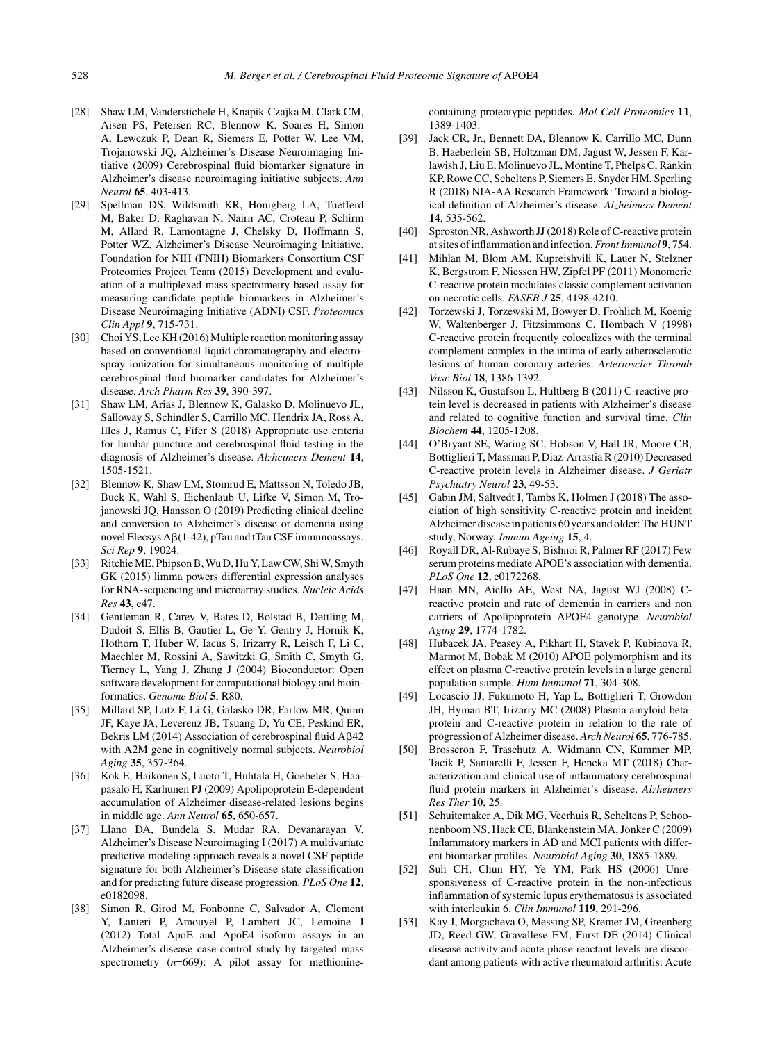- [28] Shaw LM, Vanderstichele H, Knapik-Czajka M, Clark CM, Aisen PS, Petersen RC, Blennow K, Soares H, Simon A, Lewczuk P, Dean R, Siemers E, Potter W, Lee VM, Trojanowski JQ, Alzheimer's Disease Neuroimaging Initiative (2009) Cerebrospinal fluid biomarker signature in Alzheimer's disease neuroimaging initiative subjects. *Ann Neurol* **65**, 403-413.
- [29] Spellman DS, Wildsmith KR, Honigberg LA, Tuefferd M, Baker D, Raghavan N, Nairn AC, Croteau P, Schirm M, Allard R, Lamontagne J, Chelsky D, Hoffmann S, Potter WZ, Alzheimer's Disease Neuroimaging Initiative, Foundation for NIH (FNIH) Biomarkers Consortium CSF Proteomics Project Team (2015) Development and evaluation of a multiplexed mass spectrometry based assay for measuring candidate peptide biomarkers in Alzheimer's Disease Neuroimaging Initiative (ADNI) CSF. *Proteomics Clin Appl* **9**, 715-731.
- [30] Choi YS, Lee KH (2016) Multiple reaction monitoring assay based on conventional liquid chromatography and electrospray ionization for simultaneous monitoring of multiple cerebrospinal fluid biomarker candidates for Alzheimer's disease. *Arch Pharm Res* **39**, 390-397.
- [31] Shaw LM, Arias J, Blennow K, Galasko D, Molinuevo JL, Salloway S, Schindler S, Carrillo MC, Hendrix JA, Ross A, Illes J, Ramus C, Fifer S (2018) Appropriate use criteria for lumbar puncture and cerebrospinal fluid testing in the diagnosis of Alzheimer's disease. *Alzheimers Dement* **14**, 1505-1521.
- [32] Blennow K, Shaw LM, Stomrud E, Mattsson N, Toledo JB, Buck K, Wahl S, Eichenlaub U, Lifke V, Simon M, Trojanowski JQ, Hansson O (2019) Predicting clinical decline and conversion to Alzheimer's disease or dementia using  $novel Elecsys A\beta(1-42), pTau and tTau CSF immunoassays.$ *Sci Rep* **9**, 19024.
- [33] Ritchie ME, Phipson B, Wu D, Hu Y, Law CW, Shi W, Smyth GK (2015) limma powers differential expression analyses for RNA-sequencing and microarray studies. *Nucleic Acids Res* **43**, e47.
- [34] Gentleman R, Carey V, Bates D, Bolstad B, Dettling M, Dudoit S, Ellis B, Gautier L, Ge Y, Gentry J, Hornik K, Hothorn T, Huber W, Iacus S, Irizarry R, Leisch F, Li C, Maechler M, Rossini A, Sawitzki G, Smith C, Smyth G, Tierney L, Yang J, Zhang J (2004) Bioconductor: Open software development for computational biology and bioinformatics. *Genome Biol* **5**, R80.
- [35] Millard SP, Lutz F, Li G, Galasko DR, Farlow MR, Quinn JF, Kaye JA, Leverenz JB, Tsuang D, Yu CE, Peskind ER, Bekris LM (2014) Association of cerebrospinal fluid Aβ42 with A2M gene in cognitively normal subjects. *Neurobiol Aging* **35**, 357-364.
- [36] Kok E, Haikonen S, Luoto T, Huhtala H, Goebeler S, Haapasalo H, Karhunen PJ (2009) Apolipoprotein E-dependent accumulation of Alzheimer disease-related lesions begins in middle age. *Ann Neurol* **65**, 650-657.
- [37] Llano DA, Bundela S, Mudar RA, Devanarayan V, Alzheimer's Disease Neuroimaging I (2017) A multivariate predictive modeling approach reveals a novel CSF peptide signature for both Alzheimer's Disease state classification and for predicting future disease progression. *PLoS One* **12**, e0182098.
- [38] Simon R, Girod M, Fonbonne C, Salvador A, Clement Y, Lanteri P, Amouyel P, Lambert JC, Lemoine J (2012) Total ApoE and ApoE4 isoform assays in an Alzheimer's disease case-control study by targeted mass spectrometry (*n*=669): A pilot assay for methionine-

containing proteotypic peptides. *Mol Cell Proteomics* **11**, 1389-1403.

- [39] Jack CR, Jr., Bennett DA, Blennow K, Carrillo MC, Dunn B, Haeberlein SB, Holtzman DM, Jagust W, Jessen F, Karlawish J, Liu E, Molinuevo JL, Montine T, Phelps C, Rankin KP, Rowe CC, Scheltens P, Siemers E, Snyder HM, Sperling R (2018) NIA-AA Research Framework: Toward a biological definition of Alzheimer's disease. *Alzheimers Dement* **14**, 535-562.
- [40] Sproston NR, Ashworth JJ (2018) Role of C-reactive protein at sites of inflammation and infection.*Front Immunol* **9**, 754.
- [41] Mihlan M, Blom AM, Kupreishvili K, Lauer N, Stelzner K, Bergstrom F, Niessen HW, Zipfel PF (2011) Monomeric C-reactive protein modulates classic complement activation on necrotic cells. *FASEB J* **25**, 4198-4210.
- [42] Torzewski J, Torzewski M, Bowyer D, Frohlich M, Koenig W, Waltenberger J, Fitzsimmons C, Hombach V (1998) C-reactive protein frequently colocalizes with the terminal complement complex in the intima of early atherosclerotic lesions of human coronary arteries. *Arterioscler Thromb Vasc Biol* **18**, 1386-1392.
- [43] Nilsson K, Gustafson L, Hultberg B (2011) C-reactive protein level is decreased in patients with Alzheimer's disease and related to cognitive function and survival time. *Clin Biochem* **44**, 1205-1208.
- [44] O'Bryant SE, Waring SC, Hobson V, Hall JR, Moore CB, Bottiglieri T, Massman P, Diaz-Arrastia R (2010) Decreased C-reactive protein levels in Alzheimer disease. *J Geriatr Psychiatry Neurol* **23**, 49-53.
- [45] Gabin JM, Saltvedt I, Tambs K, Holmen J (2018) The association of high sensitivity C-reactive protein and incident Alzheimer disease in patients 60 years and older: The HUNT study, Norway. *Immun Ageing* **15**, 4.
- [46] Royall DR, Al-Rubaye S, Bishnoi R, Palmer RF (2017) Few serum proteins mediate APOE's association with dementia. *PLoS One* **12**, e0172268.
- [47] Haan MN, Aiello AE, West NA, Jagust WJ (2008) Creactive protein and rate of dementia in carriers and non carriers of Apolipoprotein APOE4 genotype. *Neurobiol Aging* **29**, 1774-1782.
- [48] Hubacek JA, Peasey A, Pikhart H, Stavek P, Kubinova R, Marmot M, Bobak M (2010) APOE polymorphism and its effect on plasma C-reactive protein levels in a large general population sample. *Hum Immunol* **71**, 304-308.
- [49] Locascio JJ, Fukumoto H, Yap L, Bottiglieri T, Growdon JH, Hyman BT, Irizarry MC (2008) Plasma amyloid betaprotein and C-reactive protein in relation to the rate of progression of Alzheimer disease. *Arch Neurol* **65**, 776-785.
- [50] Brosseron F, Traschutz A, Widmann CN, Kummer MP, Tacik P, Santarelli F, Jessen F, Heneka MT (2018) Characterization and clinical use of inflammatory cerebrospinal fluid protein markers in Alzheimer's disease. *Alzheimers Res Ther* **10**, 25.
- [51] Schuitemaker A, Dik MG, Veerhuis R, Scheltens P, Schoonenboom NS, Hack CE, Blankenstein MA, Jonker C (2009) Inflammatory markers in AD and MCI patients with different biomarker profiles. *Neurobiol Aging* **30**, 1885-1889.
- [52] Suh CH, Chun HY, Ye YM, Park HS (2006) Unresponsiveness of C-reactive protein in the non-infectious inflammation of systemic lupus erythematosus is associated with interleukin 6. *Clin Immunol* **119**, 291-296.
- [53] Kay J, Morgacheva O, Messing SP, Kremer JM, Greenberg JD, Reed GW, Gravallese EM, Furst DE (2014) Clinical disease activity and acute phase reactant levels are discordant among patients with active rheumatoid arthritis: Acute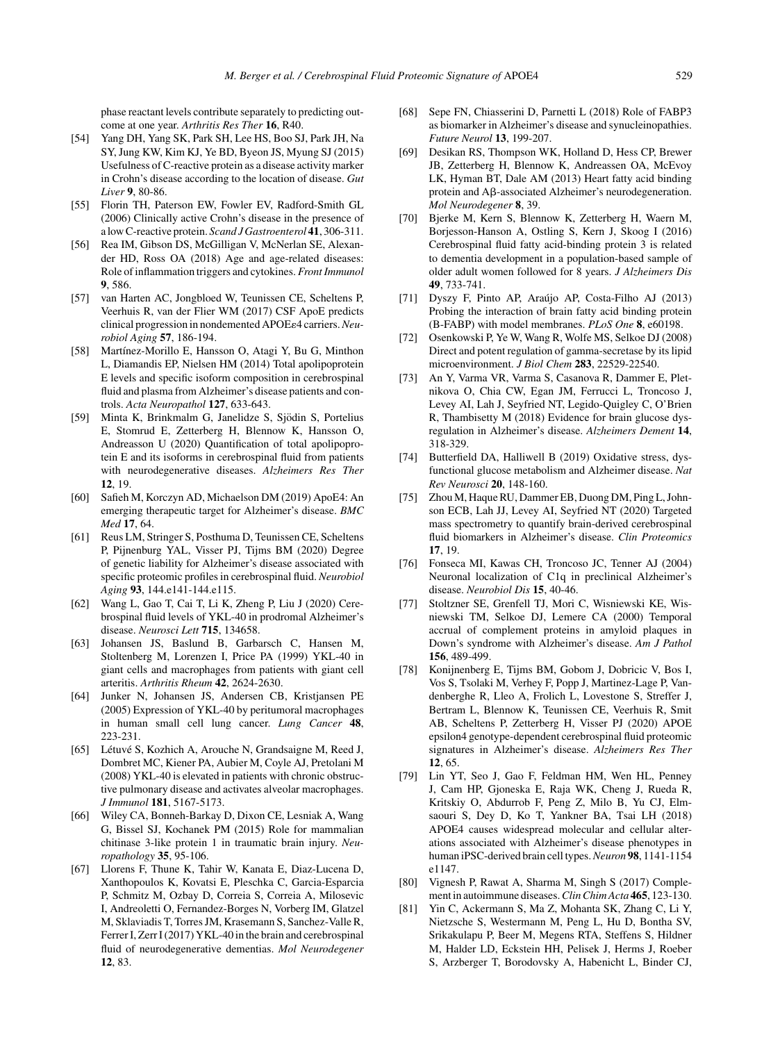phase reactant levels contribute separately to predicting outcome at one year. *Arthritis Res Ther* **16**, R40.

- [54] Yang DH, Yang SK, Park SH, Lee HS, Boo SJ, Park JH, Na SY, Jung KW, Kim KJ, Ye BD, Byeon JS, Myung SJ (2015) Usefulness of C-reactive protein as a disease activity marker in Crohn's disease according to the location of disease. *Gut Liver* **9**, 80-86.
- [55] Florin TH, Paterson EW, Fowler EV, Radford-Smith GL (2006) Clinically active Crohn's disease in the presence of a low C-reactive protein. *Scand J Gastroenterol* **41**, 306-311.
- [56] Rea IM, Gibson DS, McGilligan V, McNerlan SE, Alexander HD, Ross OA (2018) Age and age-related diseases: Role of inflammation triggers and cytokines. *Front Immunol* **9**, 586.
- [57] van Harten AC, Jongbloed W, Teunissen CE, Scheltens P, Veerhuis R, van der Flier WM (2017) CSF ApoE predicts clinical progression in nondemented APOE<sub>ε4</sub> carriers. Neu*robiol Aging* **57**, 186-194.
- [58] Martínez-Morillo E, Hansson O, Atagi Y, Bu G, Minthon L, Diamandis EP, Nielsen HM (2014) Total apolipoprotein E levels and specific isoform composition in cerebrospinal fluid and plasma from Alzheimer's disease patients and controls. *Acta Neuropathol* **127**, 633-643.
- [59] Minta K, Brinkmalm G, Janelidze S, Sjödin S, Portelius E, Stomrud E, Zetterberg H, Blennow K, Hansson O, Andreasson U (2020) Quantification of total apolipoprotein E and its isoforms in cerebrospinal fluid from patients with neurodegenerative diseases. *Alzheimers Res Ther* **12**, 19.
- [60] Safieh M, Korczyn AD, Michaelson DM (2019) ApoE4: An emerging therapeutic target for Alzheimer's disease. *BMC Med* **17**, 64.
- [61] Reus LM, Stringer S, Posthuma D, Teunissen CE, Scheltens P, Pijnenburg YAL, Visser PJ, Tijms BM (2020) Degree of genetic liability for Alzheimer's disease associated with specific proteomic profiles in cerebrospinal fluid. *Neurobiol Aging* **93**, 144.e141-144.e115.
- [62] Wang L, Gao T, Cai T, Li K, Zheng P, Liu J (2020) Cerebrospinal fluid levels of YKL-40 in prodromal Alzheimer's disease. *Neurosci Lett* **715**, 134658.
- [63] Johansen JS, Baslund B, Garbarsch C, Hansen M, Stoltenberg M, Lorenzen I, Price PA (1999) YKL-40 in giant cells and macrophages from patients with giant cell arteritis. *Arthritis Rheum* **42**, 2624-2630.
- [64] Junker N, Johansen JS, Andersen CB, Kristjansen PE (2005) Expression of YKL-40 by peritumoral macrophages in human small cell lung cancer. *Lung Cancer* **48**, 223-231.
- [65] Létuvé S, Kozhich A, Arouche N, Grandsaigne M, Reed J, Dombret MC, Kiener PA, Aubier M, Coyle AJ, Pretolani M (2008) YKL-40 is elevated in patients with chronic obstructive pulmonary disease and activates alveolar macrophages. *J Immunol* **181**, 5167-5173.
- [66] Wiley CA, Bonneh-Barkay D, Dixon CE, Lesniak A, Wang G, Bissel SJ, Kochanek PM (2015) Role for mammalian chitinase 3-like protein 1 in traumatic brain injury. *Neuropathology* **35**, 95-106.
- [67] Llorens F, Thune K, Tahir W, Kanata E, Diaz-Lucena D, Xanthopoulos K, Kovatsi E, Pleschka C, Garcia-Esparcia P, Schmitz M, Ozbay D, Correia S, Correia A, Milosevic I, Andreoletti O, Fernandez-Borges N, Vorberg IM, Glatzel M, Sklaviadis T, Torres JM, Krasemann S, Sanchez-Valle R, Ferrer I, Zerr I (2017) YKL-40 in the brain and cerebrospinal fluid of neurodegenerative dementias. *Mol Neurodegener* **12**, 83.
- [68] Sepe FN, Chiasserini D, Parnetti L (2018) Role of FABP3 as biomarker in Alzheimer's disease and synucleinopathies. *Future Neurol* **13**, 199-207.
- [69] Desikan RS, Thompson WK, Holland D, Hess CP, Brewer JB, Zetterberg H, Blennow K, Andreassen OA, McEvoy LK, Hyman BT, Dale AM (2013) Heart fatty acid binding protein and Aß-associated Alzheimer's neurodegeneration. *Mol Neurodegener* **8**, 39.
- [70] Bjerke M, Kern S, Blennow K, Zetterberg H, Waern M, Borjesson-Hanson A, Ostling S, Kern J, Skoog I (2016) Cerebrospinal fluid fatty acid-binding protein 3 is related to dementia development in a population-based sample of older adult women followed for 8 years. *J Alzheimers Dis* **49**, 733-741.
- [71] Dyszy F, Pinto AP, Araujo AP, Costa-Filho AJ (2013) ´ Probing the interaction of brain fatty acid binding protein (B-FABP) with model membranes. *PLoS One* **8**, e60198.
- [72] Osenkowski P, Ye W, Wang R, Wolfe MS, Selkoe DJ (2008) Direct and potent regulation of gamma-secretase by its lipid microenvironment. *J Biol Chem* **283**, 22529-22540.
- [73] An Y, Varma VR, Varma S, Casanova R, Dammer E, Pletnikova O, Chia CW, Egan JM, Ferrucci L, Troncoso J, Levey AI, Lah J, Seyfried NT, Legido-Quigley C, O'Brien R, Thambisetty M (2018) Evidence for brain glucose dysregulation in Alzheimer's disease. *Alzheimers Dement* **14**, 318-329.
- [74] Butterfield DA, Halliwell B (2019) Oxidative stress, dysfunctional glucose metabolism and Alzheimer disease. *Nat Rev Neurosci* **20**, 148-160.
- [75] Zhou M, Haque RU, Dammer EB, Duong DM, Ping L, Johnson ECB, Lah JJ, Levey AI, Seyfried NT (2020) Targeted mass spectrometry to quantify brain-derived cerebrospinal fluid biomarkers in Alzheimer's disease. *Clin Proteomics* **17**, 19.
- [76] Fonseca MI, Kawas CH, Troncoso JC, Tenner AJ (2004) Neuronal localization of C1q in preclinical Alzheimer's disease. *Neurobiol Dis* **15**, 40-46.
- [77] Stoltzner SE, Grenfell TJ, Mori C, Wisniewski KE, Wisniewski TM, Selkoe DJ, Lemere CA (2000) Temporal accrual of complement proteins in amyloid plaques in Down's syndrome with Alzheimer's disease. *Am J Pathol* **156**, 489-499.
- [78] Konijnenberg E, Tijms BM, Gobom J, Dobricic V, Bos I, Vos S, Tsolaki M, Verhey F, Popp J, Martinez-Lage P, Vandenberghe R, Lleo A, Frolich L, Lovestone S, Streffer J, Bertram L, Blennow K, Teunissen CE, Veerhuis R, Smit AB, Scheltens P, Zetterberg H, Visser PJ (2020) APOE epsilon4 genotype-dependent cerebrospinal fluid proteomic signatures in Alzheimer's disease. *Alzheimers Res Ther* **12**, 65.
- [79] Lin YT, Seo J, Gao F, Feldman HM, Wen HL, Penney J, Cam HP, Gjoneska E, Raja WK, Cheng J, Rueda R, Kritskiy O, Abdurrob F, Peng Z, Milo B, Yu CJ, Elmsaouri S, Dey D, Ko T, Yankner BA, Tsai LH (2018) APOE4 causes widespread molecular and cellular alterations associated with Alzheimer's disease phenotypes in human iPSC-derived brain cell types.*Neuron* **98**, 1141-1154 e1147.
- [80] Vignesh P, Rawat A, Sharma M, Singh S (2017) Complement in autoimmune diseases.*Clin Chim Acta* **465**, 123-130.
- [81] Yin C, Ackermann S, Ma Z, Mohanta SK, Zhang C, Li Y, Nietzsche S, Westermann M, Peng L, Hu D, Bontha SV, Srikakulapu P, Beer M, Megens RTA, Steffens S, Hildner M, Halder LD, Eckstein HH, Pelisek J, Herms J, Roeber S, Arzberger T, Borodovsky A, Habenicht L, Binder CJ,